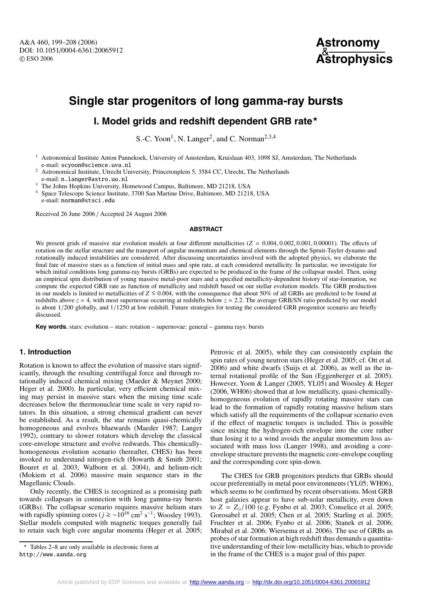

## **Single star progenitors of long gamma-ray bursts**

### **I. Model grids and redshift dependent GRB rate**

S.-C. Yoon<sup>1</sup>, N. Langer<sup>2</sup>, and C. Norman<sup>2,3,4</sup>

<sup>1</sup> Astronomical Institute Anton Pannekoek, University of Amsterdam, Kruislaan 403, 1098 SJ, Amsterdam, The Netherlands e-mail: scyoon@science.uva.nl

<sup>2</sup> Astronomical Institute, Utrecht University, Princetonplein 5, 3584 CC, Utrecht, The Netherlands e-mail: n.langer@astro.uu.nl

<sup>3</sup> The Johns Hopkins University, Homewood Campus, Baltimore, MD 21218, USA

<sup>4</sup> Space Telescope Science Institute, 3700 San Martine Drive, Baltimore, MD 21218, USA e-mail: norman@stsci.edu

Received 26 June 2006 / Accepted 24 August 2006

#### **ABSTRACT**

We present grids of massive star evolution models at four different metallicities  $(Z = 0.004, 0.002, 0.001, 0.00001)$ . The effects of rotation on the stellar structure and the transport of angular momentum and chemical elements through the Spruit-Tayler dynamo and rotationally induced instabilities are considered. After discussing uncertainties involved with the adopted physics, we elaborate the final fate of massive stars as a function of initial mass and spin rate, at each considered metallicity. In particular, we investigate for which initial conditions long gamma-ray bursts (GRBs) are expected to be produced in the frame of the collapsar model. Then, using an empirical spin distribution of young massive metal-poor stars and a specified metallicity-dependent history of star-formation, we compute the expected GRB rate as function of metallicity and redshift based on our stellar evolution models. The GRB production in our models is limited to metallicities of  $Z \le 0.004$ , with the consequence that about 50% of all GRBs are predicted to be found at redshifts above  $z = 4$ , with most supernovae occurring at redshifts below  $z \approx 2.2$ . The average GRB/SN ratio predicted by our model is about 1/200 globally, and 1/1250 at low redshift. Future strategies for testing the considered GRB progenitor scenario are briefly discussed.

**Key words.** stars: evolution – stars: rotation – supernovae: general – gamma rays: bursts

#### **1. Introduction**

Rotation is known to affect the evolution of massive stars significantly, through the resulting centrifugal force and through rotationally induced chemical mixing (Maeder & Meynet 2000; Heger et al. 2000). In particular, very efficient chemical mixing may persist in massive stars when the mixing time scale decreases below the thermonuclear time scale in very rapid rotators. In this situation, a strong chemical gradient can never be established. As a result, the star remains quasi-chemically homogeneous and evolves bluewards (Maeder 1987; Langer 1992), contrary to slower rotators which develop the classical core-envelope structure and evolve redwards. This chemicallyhomogeneous evolution scenario (hereafter, CHES) has been invoked to understand nitrogen-rich (Howarth & Smith 2001; Bouret et al. 2003; Walborn et al. 2004), and helium-rich (Mokiem et al. 2006) massive main sequence stars in the Magellanic Clouds.

Only recently, the CHES is recognized as a promising path towards collapsars in connection with long gamma-ray bursts (GRBs). The collapsar scenario requires massive helium stars with rapidly spinning cores ( $j \geq 0.2$ <sup>16</sup> cm<sup>2</sup> s<sup>-1</sup>; Woosley 1993). Stellar models computed with magnetic torques generally fail to retain such high core angular momenta (Heger et al. 2005;

Petrovic et al. 2005), while they can consistently explain the spin rates of young neutron stars (Heger et al. 2005; cf. Ott et al. 2006) and white dwarfs (Suijs et al. 2006), as well as the internal rotational profile of the Sun (Eggenberger et al. 2005). However, Yoon & Langer (2005, YL05) and Woosley & Heger (2006, WH06) showed that at low metallicity, quasi-chemicallyhomogeneous evolution of rapidly rotating massive stars can lead to the formation of rapidly rotating massive helium stars which satisfy all the requirements of the collapsar scenario even if the effect of magnetic torques is included. This is possible since mixing the hydrogen-rich envelope into the core rather than losing it to a wind avoids the angular momentum loss associated with mass loss (Langer 1998), and avoiding a coreenvelope structure prevents the magnetic core-envelope coupling and the corresponding core spin-down.

The CHES for GRB progenitors predicts that GRBs should occur preferentially in metal poor environments (YL05; WH06), which seems to be confirmed by recent observations. Most GRB host galaxies appear to have sub-solar metallicity, even down to  $Z \approx Z_0/100$  (e.g. Fynbo et al. 2003; Conselice et al. 2005; Gorosabel et al. 2005; Chen et al. 2005; Starling et al. 2005; Fruchter et al. 2006; Fynbo et al. 2006; Stanek et al. 2006; Mirabal et al. 2006; Wiersema et al. 2006). The use of GRBs as probes of star formation at high redshift thus demands a quantitative understanding of their low-metallicity bias, which to provide in the frame of the CHES is a major goal of this paper.

<sup>\*</sup> Tables 2–8 are only available in electronic form at http://www.aanda.org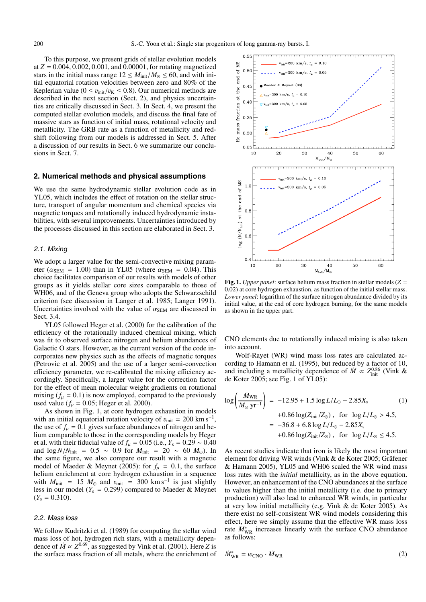To this purpose, we present grids of stellar evolution models at  $Z = 0.004, 0.002, 0.001,$  and  $0.00001$ , for rotating magnetized stars in the initial mass range  $12 \leq M_{init}/M_{\odot} \leq 60$ , and with initial equatorial rotation velocities between zero and 80% of the Keplerian value ( $0 \le v_{\text{init}}/v_K \le 0.8$ ). Our numerical methods are described in the next section (Sect. 2), and physics uncertainties are critically discussed in Sect. 3. In Sect. 4, we present the computed stellar evolution models, and discuss the final fate of massive stars as function of initial mass, rotational velocity and metallicity. The GRB rate as a function of metallicity and redshift following from our models is addressed in Sect. 5. After a discussion of our results in Sect. 6 we summarize our conclusions in Sect. 7.

#### **2. Numerical methods and physical assumptions**

We use the same hydrodynamic stellar evolution code as in YL05, which includes the effect of rotation on the stellar structure, transport of angular momentum and chemical species via magnetic torques and rotationally induced hydrodynamic instabilities, with several improvements. Uncertainties introduced by the processes discussed in this section are elaborated in Sect. 3.

#### 2.1. Mixing

We adopt a larger value for the semi-convective mixing parameter ( $\alpha_{SEM}$  = 1.00) than in YL05 (where  $\alpha_{SEM}$  = 0.04). This choice facilitates comparison of our results with models of other groups as it yields stellar core sizes comparable to those of WH06, and of the Geneva group who adopts the Schwarzschild criterion (see discussion in Langer et al. 1985; Langer 1991). Uncertainties involved with the value of  $\alpha_{SEM}$  are discussed in Sect. 3.4.

YL05 followed Heger et al. (2000) for the calibration of the efficiency of the rotationally induced chemical mixing, which was fit to observed surface nitrogen and helium abundances of Galactic O stars. However, as the current version of the code incorporates new physics such as the effects of magnetic torques (Petrovic et al. 2005) and the use of a larger semi-convection efficiency parameter, we re-calibrated the mixing efficiency accordingly. Specifically, a larger value for the correction factor for the effect of mean molecular weight gradients on rotational mixing  $(f_u = 0.1)$  is now employed, compared to the previously used value ( $f_{\mu} = 0.05$ ; Heger et al. 2000).

As shown in Fig. 1, at core hydrogen exhaustion in models with an initial equatorial rotation velocity of  $v_{\text{init}} = 200 \text{ km s}^{-1}$ , the use of  $f_u = 0.1$  gives surface abundances of nitrogen and helium comparable to those in the corresponding models by Heger et al. with their fiducial value of  $f_u = 0.05$  (i.e.,  $Y_s = 0.29 \sim 0.40$ ) and  $\log N/N_{\text{init}} = 0.5 \sim 0.9$  for  $M_{\text{init}} = 20 \sim 60$  *M*<sub>☉</sub>. In the same figure, we also compare our result with a magnetic model of Maeder & Meynet (2005): for  $f_{\mu} = 0.1$ , the surface helium enrichment at core hydrogen exhaustion in a sequence with  $M_{\text{init}}$  = 15  $M_{\odot}$  and  $v_{\text{init}}$  = 300 km s<sup>-1</sup> is just slightly less in our model ( $Y_s = 0.299$ ) compared to Maeder & Meynet  $(Y_s = 0.310)$ .

#### 2.2. Mass loss

We follow Kudritzki et al. (1989) for computing the stellar wind mass loss of hot, hydrogen rich stars, with a metallicity dependence of  $\dot{M} \propto Z^{0.69}$ , as suggested by Vink et al. (2001). Here *Z* is the surface mass fraction of all metals, where the enrichment of



**Fig. 1.** *Upper panel*: surface helium mass fraction in stellar models (*Z* = 0.02) at core hydrogen exhaustion, as function of the initial stellar mass. *Lower panel*: logarithm of the surface nitrogen abundance divided by its initial value, at the end of core hydrogen burning, for the same models as shown in the upper part.

CNO elements due to rotationally induced mixing is also taken into account.

Wolf-Rayet (WR) wind mass loss rates are calculated according to Hamann et al. (1995), but reduced by a factor of 10, and including a metallicity dependence of  $\dot{M} \propto Z_{\text{init}}^{0.86}$  (Vink & de Koter 2005; see Fig. 1 of YL05):

$$
\log\left(\frac{\dot{M}_{\text{WR}}}{M_{\odot} \text{ yr}^{-1}}\right) = -12.95 + 1.5 \log L/L_{\odot} - 2.85X_{\text{s}} \qquad (1)
$$
  
+0.86 \log(Z<sub>init</sub>/Z<sub>o</sub>), for  $\log L/L_{\odot} > 4.5$ ,  
= -36.8 + 6.8 \log L/L\_{\odot} - 2.85X\_{\text{s}}  
+0.86 \log(Z<sub>init</sub>/Z<sub>o</sub>), for  $\log L/L_{\odot} \le 4.5$ .

As recent studies indicate that iron is likely the most important element for driving WR winds (Vink & de Koter 2005; Gräfener & Hamann 2005), YL05 and WH06 scaled the WR wind mass loss rates with the *initial* metallicity, as in the above equation. However, an enhancement of the CNO abundances at the surface to values higher than the initial metallicity (i.e. due to primary production) will also lead to enhanced WR winds, in particular at very low initial metallicity (e.g. Vink & de Koter 2005). As there exist no self-consistent WR wind models considering this effect, here we simply assume that the effective WR mass loss rate  $M_{\text{WR}}^*$  increases linearly with the surface CNO abundance as follows:

$$
\dot{M}_{\text{WR}}^* = w_{\text{CNO}} \cdot \dot{M}_{\text{WR}} \tag{2}
$$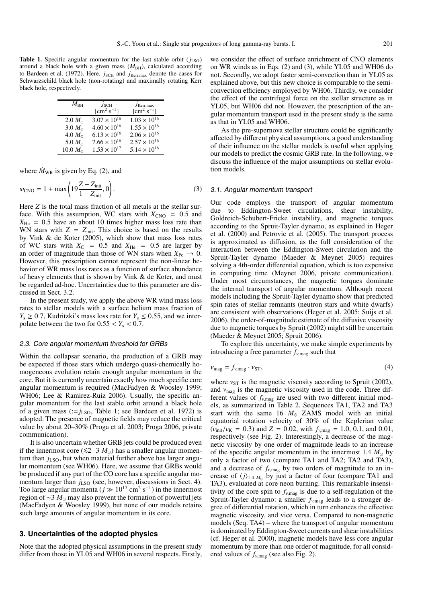**Table 1.** Specific angular momentum for the last stable orbit  $(j_{LSO})$ around a black hole with a given mass ( $M_{BH}$ ), calculated according to Bardeen et al. (1972). Here,  $j_{\text{SCH}}$  and  $j_{\text{Kerr,max}}$  denote the cases for Schwarzschild black hole (non-rotating) and maximally rotating Kerr black hole, respectively.

| $M_{\rm BH}$     | J <sub>SCH</sub><br>$[cm^2 s^{-1}]$ | $J$ Kerr, max<br>$[cm^2 s^{-1}]$ |
|------------------|-------------------------------------|----------------------------------|
| 2.0 $M_{\odot}$  | $3.07 \times 10^{16}$               | $1.03 \times 10^{16}$            |
| 3.0 $M_{\odot}$  | $4.60 \times 10^{16}$               | $1.55 \times 10^{16}$            |
| 4.0 $M_{\odot}$  | $6.13 \times 10^{16}$               | $2.06 \times 10^{16}$            |
| 5.0 $M_{\odot}$  | $7.66 \times 10^{16}$               | $2.57 \times 10^{16}$            |
| 10.0 $M_{\odot}$ | $1.53 \times 10^{17}$               | $5.14 \times 10^{16}$            |

where  $\dot{M}_{WR}$  is given by Eq. (2), and

$$
w_{\rm CNO} = 1 + \max\left(19\frac{Z - Z_{\rm init}}{1 - Z_{\rm init}}, 0\right). \tag{3}
$$

Here *Z* is the total mass fraction of all metals at the stellar surface. With this assumption, WC stars with  $X_{CNO} = 0.5$  and  $X_{\text{He}}$  = 0.5 have an about 10 times higher mass loss rate than WN stars with  $Z = Z_{\text{init}}$ . This choice is based on the results by Vink & de Koter (2005), which show that mass loss rates of WC stars with  $X_C = 0.5$  and  $X_{He} = 0.5$  are larger by an order of magnitude than those of WN stars when  $X_{Fe} \rightarrow 0$ . However, this prescription cannot represent the non-linear behavior of WR mass loss rates as a function of surface abundance of heavy elements that is shown by Vink & de Koter, and must be regarded ad-hoc. Uncertainties due to this parameter are discussed in Sect. 3.2.

In the present study, we apply the above WR wind mass loss rates to stellar models with a surface helium mass fraction of  $Y_s \geq 0.7$ , Kudritzki's mass loss rate for  $Y_s \leq 0.55$ , and we interpolate between the two for  $0.55 < Y_s < 0.7$ .

#### 2.3. Core angular momentum threshold for GRBs

Within the collapsar scenario, the production of a GRB may be expected if those stars which undergo quasi-chemically homogeneous evolution retain enough angular momentum in the core. But it is currently uncertain exactly how much specific core angular momentum is required (MacFadyen & Woosley 1999; WH06; Lee & Ramirez-Ruiz 2006). Usually, the specific angular momentum for the last stable orbit around a black hole of a given mass  $(:=j<sub>LSO</sub>, Table 1; see Bardeen et al. 1972)$  is adopted. The presence of magnetic fields may reduce the critical value by about 20–30% (Proga et al. 2003; Proga 2006, private communication).

It is also uncertain whether GRB jets could be produced even if the innermost core ( $\leq 2-3$  *M*<sub>○</sub>) has a smaller angular momentum than  $j_{\text{LSO}}$ , but when material further above has larger angular momentum (see WH06). Here, we assume that GRBs would be produced if any part of the CO core has a specific angular momentum larger than  $j_{LSO}$  (see, however, discussions in Sect. 4). Too large angular momenta ( $j \gg 10^{17}$  cm<sup>2</sup> s<sup>-1</sup>) in the innermost region of ∼3 *M*<sub>o</sub> may also prevent the formation of powerful jets (MacFadyen & Woosley 1999), but none of our models retains such large amounts of angular momentum in its core.

#### **3. Uncertainties of the adopted physics**

Note that the adopted physical assumptions in the present study differ from those in YL05 and WH06 in several respects. Firstly,

we consider the effect of surface enrichment of CNO elements on WR winds as in Eqs. (2) and (3), while YL05 and WH06 do not. Secondly, we adopt faster semi-convection than in YL05 as explained above, but this new choice is comparable to the semiconvection efficiency employed by WH06. Thirdly, we consider the effect of the centrifugal force on the stellar structure as in YL05, but WH06 did not. However, the prescription of the angular momentum transport used in the present study is the same as that in YL05 and WH06.

As the pre-supernova stellar structure could be significantly affected by different physical assumptions, a good understanding of their influence on the stellar models is useful when applying our models to predict the cosmic GRB rate. In the following, we discuss the influence of the major assumptions on stellar evolution models.

#### 3.1. Angular momentum transport

Our code employs the transport of angular momentum due to Eddington-Sweet circulations, shear instability, Goldreich-Schubert-Fricke instability, and magnetic torques according to the Spruit-Tayler dynamo, as explained in Heger et al. (2000) and Petrovic et al. (2005). The transport process is approximated as diffusion, as the full consideration of the interaction between the Eddington-Sweet circulation and the Spruit-Tayler dynamo (Maeder & Meynet 2005) requires solving a 4th-order differential equation, which is too expensive in computing time (Meynet 2006, private communication). Under most circumstances, the magnetic torques dominate the internal transport of angular momentum. Although recent models including the Spruit-Tayler dynamo show that predicted spin rates of stellar remnants (neutron stars and white dwarfs) are consistent with observations (Heger et al. 2005; Suijs et al. 2006), the order-of-magnitude estimate of the diffusive viscosity due to magnetic torques by Spruit (2002) might still be uncertain (Maeder & Meynet 2005; Spruit 2006).

To explore this uncertainty, we make simple experiments by introducing a free parameter *f*ν,mag such that

$$
v_{\text{mag}} = f_{\nu, \text{mag}} \cdot v_{\text{ST}},\tag{4}
$$

where  $v_{ST}$  is the magnetic viscosity according to Spruit (2002), and  $v_{\text{mag}}$  is the magnetic viscosity used in the code. Three different values of  $f_{v, \text{mag}}$  are used with two different initial models, as summarized in Table 2. Sequences TA1, TA2 and TA3 start with the same 16  $M_{\odot}$  ZAMS model with an initial equatorial rotation velocity of 30% of the Keplerian value  $(v_{\text{init}}/v_K = 0.3)$  and  $Z = 0.02$ , with  $f_{v,\text{mag}} = 1.0, 0.1$ , and 0.01, respectively (see Fig. 2). Interestingly, a decrease of the magnetic viscosity by one order of magnitude leads to an increase of the specific angular momentum in the innermost 1.4  $M_{\odot}$  by only a factor of two (compare TA1 and TA2; TA2 and TA3), and a decrease of  $f_{v,\text{mag}}$  by two orders of magnitude to an increase of  $\langle j \rangle_{1.4 \ M_{\odot}}$  by just a factor of four (compare TA1 and TA3), evaluated at core neon burning. This remarkable insensitivity of the core spin to  $f_{v, \text{mag}}$  is due to a self-regulation of the Spruit-Tayler dynamo: a smaller  $f_{v,\text{mag}}$  leads to a stronger degree of differential rotation, which in turn enhances the effective magnetic viscosity, and vice versa. Compared to non-magnetic models (Seq. TA4) – where the transport of angular momentum is dominated by Eddington-Sweet currents and shear instabilities (cf. Heger et al. 2000), magnetic models have less core angular momentum by more than one order of magnitude, for all considered values of  $f_{v,\text{mag}}$  (see also Fig. 2).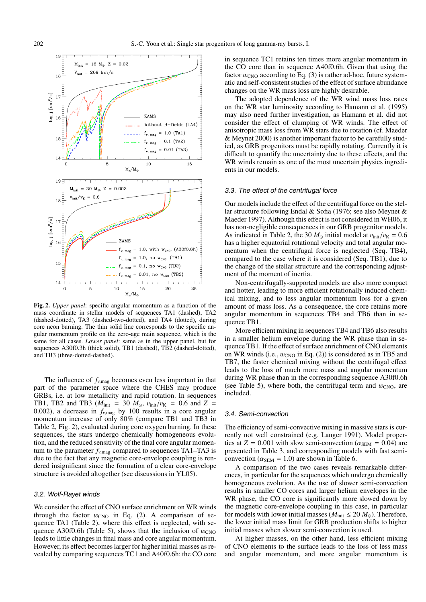

**Fig. 2.** *Upper panel*: specific angular momentum as a function of the mass coordinate in stellar models of sequences TA1 (dashed), TA2 (dashed-dotted), TA3 (dashed-two-dotted), and TA4 (dotted), during core neon burning. The thin solid line corresponds to the specific angular momentum profile on the zero-age main sequence, which is the same for all cases. *Lower panel*: same as in the upper panel, but for sequences A30f0.3h (thick solid), TB1 (dashed), TB2 (dashed-dotted), and TB3 (three-dotted-dashed).

The influence of  $f_{\nu, \text{mag}}$  becomes even less important in that part of the parameter space where the CHES may produce GRBs, i.e. at low metallicity and rapid rotation. In sequences TB1, TB2 and TB3 ( $M_{init}$  = 30  $M_{\odot}$ ,  $v_{init}/v_{K}$  = 0.6 and Z = 0.002), a decrease in  $f_{v,\text{mag}}$  by 100 results in a core angular momentum increase of only 80% (compare TB1 and TB3 in Table 2, Fig. 2), evaluated during core oxygen burning. In these sequences, the stars undergo chemically homogeneous evolution, and the reduced sensitivity of the final core angular momentum to the parameter  $f_{v,\text{mag}}$  compared to sequences TA1–TA3 is due to the fact that any magnetic core-envelope coupling is rendered insignificant since the formation of a clear core-envelope structure is avoided altogether (see discussions in YL05).

#### 3.2. Wolf-Rayet winds

We consider the effect of CNO surface enrichment on WR winds through the factor  $w_{\text{CNO}}$  in Eq. (2). A comparison of sequence TA1 (Table 2), where this effect is neglected, with sequence A30f0.6h (Table 5), shows that the inclusion of  $w_{CNO}$ leads to little changes in final mass and core angular momentum. However, its effect becomes larger for higher initial masses as revealed by comparing sequences TC1 and A40f0.6h: the CO core in sequence TC1 retains ten times more angular momentum in the CO core than in sequence A40f0.6h. Given that using the factor  $w_{\rm CNO}$  according to Eq. (3) is rather ad-hoc, future systematic and self-consistent studies of the effect of surface abundance changes on the WR mass loss are highly desirable.

The adopted dependence of the WR wind mass loss rates on the WR star luminosity according to Hamann et al. (1995) may also need further investigation, as Hamann et al. did not consider the effect of clumping of WR winds. The effect of anisotropic mass loss from WR stars due to rotation (cf. Maeder & Meynet 2000) is another important factor to be carefully studied, as GRB progenitors must be rapidly rotating. Currently it is difficult to quantify the uncertainty due to these effects, and the WR winds remain as one of the most uncertain physics ingredients in our models.

#### 3.3. The effect of the centrifugal force

Our models include the effect of the centrifugal force on the stellar structure following Endal & Sofia (1976; see also Meynet & Maeder 1997). Although this effect is not considered in WH06, it has non-negligible consequences in our GRB progenitor models. As indicated in Table 2, the 30  $M_{\odot}$  initial model at  $v_{\text{init}}/v_{\text{K}} = 0.6$ has a higher equatorial rotational velocity and total angular momentum when the centrifugal force is neglected (Seq. TB4), compared to the case where it is considered (Seq. TB1), due to the change of the stellar structure and the corresponding adjustment of the moment of inertia.

Non-centrifugally-supported models are also more compact and hotter, leading to more efficient rotationally induced chemical mixing, and to less angular momentum loss for a given amount of mass loss. As a consequence, the core retains more angular momentum in sequences TB4 and TB6 than in sequence TB1.

More efficient mixing in sequences TB4 and TB6 also results in a smaller helium envelope during the WR phase than in sequence TB1. If the effect of surface enrichment of CNO elements on WR winds (i.e.,  $w_{CNO}$  in Eq. (2)) is considered as in TB5 and TB7, the faster chemical mixing without the centrifugal effect leads to the loss of much more mass and angular momentum during WR phase than in the corresponding sequence A30f0.6h (see Table 5), where both, the centrifugal term and  $w_{\text{CNO}}$ , are included.

#### 3.4. Semi-convection

The efficiency of semi-convective mixing in massive stars is currently not well constrained (e.g. Langer 1991). Model properties at  $Z = 0.001$  with slow semi-convection ( $\alpha_{\text{SEM}} = 0.04$ ) are presented in Table 3, and corresponding models with fast semiconvection ( $\alpha_{\text{SEM}} = 1.0$ ) are shown in Table 6.

A comparison of the two cases reveals remarkable differences, in particular for the sequences which undergo chemically homogeneous evolution. As the use of slower semi-convection results in smaller CO cores and larger helium envelopes in the WR phase, the CO core is significantly more slowed down by the magnetic core-envelope coupling in this case, in particular for models with lower initial masses ( $M_{init} \leq 20$   $M_{\odot}$ ). Therefore, the lower initial mass limit for GRB production shifts to higher initial masses when slower semi-convection is used.

At higher masses, on the other hand, less efficient mixing of CNO elements to the surface leads to the loss of less mass and angular momentum, and more angular momentum is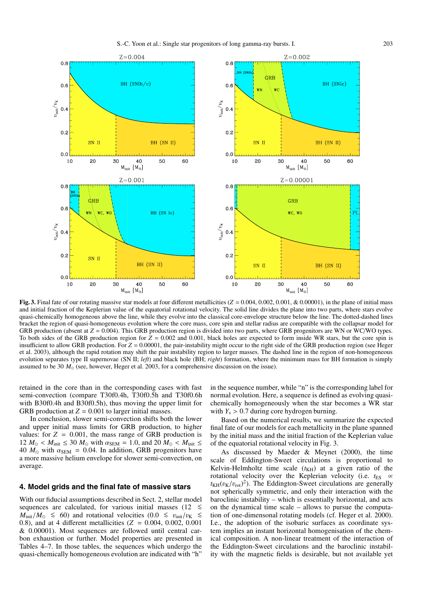

**Fig. 3.** Final fate of our rotating massive star models at four different metallicities  $(Z = 0.004, 0.002, 0.001, \& 0.00001)$ , in the plane of initial mass and initial fraction of the Keplerian value of the equatorial rotational velocity. The solid line divides the plane into two parts, where stars evolve quasi-chemically homogeneous above the line, while they evolve into the classical core-envelope structure below the line. The dotted-dashed lines bracket the region of quasi-homogeneous evolution where the core mass, core spin and stellar radius are compatible with the collapsar model for GRB production (absent at  $Z = 0.004$ ). This GRB production region is divided into two parts, where GRB progenitors are WN or WC/WO types. To both sides of the GRB production region for  $Z = 0.002$  and 0.001, black holes are expected to form inside WR stars, but the core spin is insufficient to allow GRB production. For  $Z = 0.00001$ , the pair-instability might occur to the right side of the GRB production region (see Heger et al. 2003), although the rapid rotation may shift the pair instability region to larger masses. The dashed line in the region of non-homogeneous evolution separates type II supernovae (SN II; *left*) and black hole (BH; *right*) formation, where the minimum mass for BH formation is simply assumed to be 30  $M_{\odot}$  (see, however, Heger et al. 2003, for a comprehensive discussion on the issue).

retained in the core than in the corresponding cases with fast semi-convection (compare T30f0.4h, T30f0.5h and T30f0.6h with B30f0.4h and B30f0.5h), thus moving the upper limit for GRB production at  $Z = 0.001$  to larger initial masses.

In conclusion, slower semi-convection shifts both the lower and upper initial mass limits for GRB production, to higher values: for  $Z = 0.001$ , the mass range of GRB production is  $12 M_{\odot} < M_{\text{init}} \leq 30 M_{\odot}$  with  $\alpha_{\text{SEM}} = 1.0$ , and  $20 M_{\odot} < M_{\text{init}} \leq$ 40  $M_{\odot}$  with  $\alpha_{\text{SEM}} = 0.04$ . In addition, GRB progenitors have a more massive helium envelope for slower semi-convection, on average.

#### **4. Model grids and the final fate of massive stars**

With our fiducial assumptions described in Sect. 2, stellar model sequences are calculated, for various initial masses (12  $\leq$  *M*<sub>init</sub>/*M*<sub>○</sub>  $\leq$  *M*<sub>init</sub>/*M*<sub>○</sub>  $\leq$  0.8), and at 4 different metallicities (*Z* = 0.004, 0.002, 0.001 & 0.00001). Most sequences are followed until central carbon exhaustion or further. Model properties are presented in Tables 4–7. In those tables, the sequences which undergo the quasi-chemically homogeneous evolution are indicated with "h"

in the sequence number, while "n" is the corresponding label for normal evolution. Here, a sequence is defined as evolving quasichemically homogeneously when the star becomes a WR star with  $Y_s > 0.7$  during core hydrogen burning.

Based on the numerical results, we summarize the expected final fate of our models for each metallicity in the plane spanned by the initial mass and the initial fraction of the Keplerian value of the equatorial rotational velocity in Fig. 3.

As discussed by Maeder & Meynet (2000), the time scale of Eddington-Sweet circulations is proportional to Kelvin-Helmholtz time scale  $(t<sub>KH</sub>)$  at a given ratio of the rotational velocity over the Keplerian velocity (i.e.  $t_{ES} \propto$  $t_{\text{KH}}(v_{\text{K}}/v_{\text{rot}})^2$ ). The Eddington-Sweet circulations are generally not spherically symmetric, and only their interaction with the baroclinic instability – which is essentially horizontal, and acts on the dynamical time scale – allows to pursue the computation of one-dimensonal rotating models (cf. Heger et al. 2000). I.e., the adoption of the isobaric surfaces as coordinate system implies an instant horizontal homogenisation of the chemical composition. A non-linear treatment of the interaction of the Eddington-Sweet circulations and the baroclinic instability with the magnetic fields is desirable, but not available yet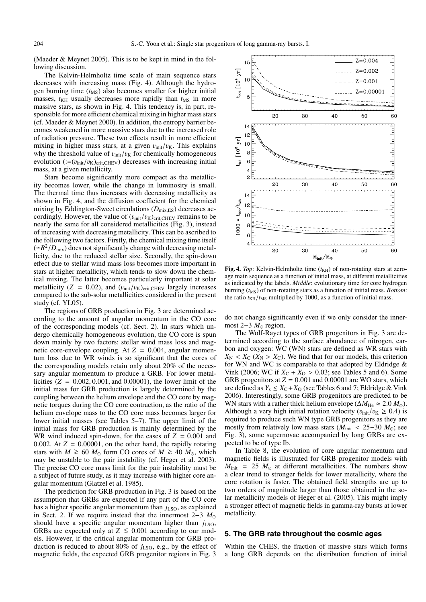(Maeder & Meynet 2005). This is to be kept in mind in the following discussion.

The Kelvin-Helmholtz time scale of main sequence stars decreases with increasing mass (Fig. 4). Although the hydrogen burning time  $(t_{\text{MS}})$  also becomes smaller for higher initial masses,  $t_{\text{KH}}$  usually decreases more rapidly than  $t_{\text{MS}}$  in more massive stars, as shown in Fig. 4. This tendency is, in part, responsible for more efficient chemical mixing in higher mass stars (cf. Maeder & Meynet 2000). In addition, the entropy barrier becomes weakened in more massive stars due to the increased role of radiation pressure. These two effects result in more efficient mixing in higher mass stars, at a given  $v_{init}/v_K$ . This explains why the threshold value of  $v_{init}/v_K$  for chemically homogeneous evolution (:= $(v_{init}/v_K)_{crit,CHEV}$ ) decreases with increasing initial mass, at a given metallicity.

Stars become significantly more compact as the metallicity becomes lower, while the change in luminosity is small. The thermal time thus increases with decreasing metallicity as shown in Fig. 4, and the diffusion coefficient for the chemical mixing by Eddington-Sweet circulations ( $D_{\text{mix,ES}}$ ) decreases accordingly. However, the value of  $(v_{init}/v_K)_{crit, CHEV}$  remains to be nearly the same for all considered metallicities (Fig. 3), instead of increasing with decreasing metallicity. This can be ascribed to the following two factors. Firstly, the chemical mixing time itself  $(\simeq R^2/D_{\text{mix}})$  does not significantly change with decreasing metallicity, due to the reduced stellar size. Secondly, the spin-down effect due to stellar wind mass loss becomes more important in stars at higher metallicity, which tends to slow down the chemical mixing. The latter becomes particularly important at solar metallicity ( $Z = 0.02$ ), and ( $v_{init}/v_{K}$ )<sub>crit,CHEV</sub> largely increases compared to the sub-solar metallicities considered in the present study (cf. YL05).

The regions of GRB production in Fig. 3 are determined according to the amount of angular momentum in the CO core of the corresponding models (cf. Sect. 2). In stars which undergo chemically homogeneous evolution, the CO core is spun down mainly by two factors: stellar wind mass loss and magnetic core-envelope coupling. At *Z* = 0.004, angular momentum loss due to WR winds is so significant that the cores of the corresponding models retain only about 20% of the necessary angular momentum to produce a GRB. For lower metallicities  $(Z = 0.002, 0.001, \text{ and } 0.00001)$ , the lower limit of the initial mass for GRB production is largely determined by the coupling between the helium envelope and the CO core by magnetic torques during the CO core contraction, as the ratio of the helium envelope mass to the CO core mass becomes larger for lower initial masses (see Tables 5–7). The upper limit of the initial mass for GRB production is mainly determined by the WR wind induced spin-down, for the cases of  $Z = 0.001$  and 0.002. At  $Z = 0.00001$ , on the other hand, the rapidly rotating stars with *M*  $\geq$  60 *M*<sub>☉</sub> form CO cores of *M*  $\geq$  40 *M*<sub>☉</sub>, which may be unstable to the pair instability (cf. Heger et al. 2003). The precise CO core mass limit for the pair instability must be a subject of future study, as it may increase with higher core angular momentum (Glatzel et al. 1985).

The prediction for GRB production in Fig. 3 is based on the assumption that GRBs are expected if any part of the CO core has a higher specific angular momentum than  $j_{\rm LSO}$ , as explained in Sect. 2. If we require instead that the innermost 2−3 *M* should have a specific angular momentum higher than  $j_{LSO}$ , GRBs are expected only at  $Z \le 0.001$  according to our models. However, if the critical angular momentum for GRB production is reduced to about 80% of  $j_{LSO}$ , e.g., by the effect of magnetic fields, the expected GRB progenitor regions in Fig. 3



**Fig. 4.** *Top*: Kelvin-Helmholtz time  $(t_{KH})$  of non-rotating stars at zeroage main sequence as a function of initial mass, at different metallicities as indicated by the labels. *Middle*: evolutionary time for core hydrogen burning ( $t_{\text{MS}}$ ) of non-rotating stars as a function of initial mass. *Bottom*: the ratio  $t_{\text{KH}}/t_{\text{MS}}$  multiplied by 1000, as a function of initial mass.

do not change significantly even if we only consider the innermost 2–3  $M_{\odot}$  region.

The Wolf-Rayet types of GRB progenitors in Fig. 3 are determined according to the surface abundance of nitrogen, carbon and oxygen: WC (WN) stars are defined as WR stars with  $X_N < X_C$  ( $X_N > X_C$ ). We find that for our models, this criterion for WN and WC is comparable to that adopted by Eldridge  $\&$ Vink (2006; WC if  $X_{C} + X_{O} > 0.03$ ; see Tables 5 and 6). Some GRB progenitors at  $Z = 0.001$  and 0.00001 are WO stars, which are defined as  $Y_s \leq X_c + X_0$  (see Tables 6 and 7; Eldridge & Vink 2006). Interestingly, some GRB progenitors are predicted to be WN stars with a rather thick helium envelope ( $\Delta M_{\text{He}} \approx 2.0 M_{\odot}$ ). Although a very high initial rotation velocity ( $v_{init}/v_K \ge 0.4$ ) is required to produce such WN type GRB progenitors as they are mostly from relatively low mass stars ( $M_{init}$  < 25–30  $M_{\odot}$ ; see Fig. 3), some supernovae accompanied by long GRBs are expected to be of type Ib.

In Table 8, the evolution of core angular momentum and magnetic fields is illustrated for GRB progenitor models with  $M_{\text{init}}$  = 25  $M_{\odot}$  at different metallicities. The numbers show a clear trend to stronger fields for lower metallicity, where the core rotation is faster. The obtained field strengths are up to two orders of magnitude larger than those obtained in the solar metallicity models of Heger et al. (2005). This might imply a stronger effect of magnetic fields in gamma-ray bursts at lower metallicity.

#### **5. The GRB rate throughout the cosmic ages**

Within the CHES, the fraction of massive stars which forms a long GRB depends on the distribution function of initial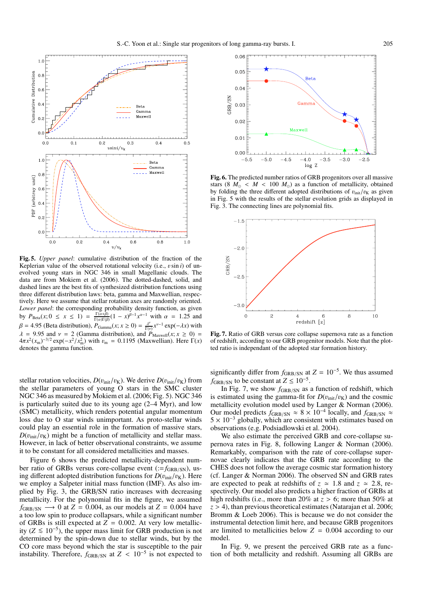

**Fig. 5.** *Upper panel*: cumulative distribution of the fraction of the Keplerian value of the observed rotational velocity (i.e., vsin *i*) of unevolved young stars in NGC 346 in small Magellanic clouds. The data are from Mokiem et al. (2006). The dotted-dashed, solid, and dashed lines are the best fits of synthesized distribution functions using three different distribution laws: beta, gamma and Maxwellian, respectively. Here we assume that stellar rotation axes are randomly oriented. *Lower panel*: the corresponding probability density function, as given by  $P_{\text{Beta}}(x; 0 \le x \le 1) = \frac{\Gamma(\alpha+\beta)}{\Gamma(\alpha)\Gamma(\beta)} (1 - x)^{\beta-1} x^{\alpha-1}$  with  $\alpha = 1.25$  and  $\beta = 4.95$  (Beta distribution),  $P_{\text{Gamma}}(x; x \ge 0) = \frac{\lambda^{\nu}}{\Gamma(\nu)} x^{\nu-1} \exp(-\lambda x)$  with  $\lambda$  = 9.95 and  $\nu$  = 2 (Gamma distribution), and  $\hat{P}_{\text{Maxwell}}(x; x \ge 0)$  =  $4\pi x^2(x_m)^{-3/2} \exp(-x^2/x_m^2)$  with  $v_m = 0.1195$  (Maxwellian). Here  $\Gamma(x)$ denotes the gamma function.

stellar rotation velocities,  $D(v_{\text{init}}/v_K)$ . We derive  $D(v_{\text{init}}/v_K)$  from the stellar parameters of young O stars in the SMC cluster NGC 346 as measured by Mokiem et al. (2006; Fig. 5). NGC 346 is particularly suited due to its young age (2–4 Myr), and low (SMC) metallicity, which renders potential angular momentum loss due to O star winds unimportant. As proto-stellar winds could play an essential role in the formation of massive stars,  $D(v_{init}/v_{\rm K})$  might be a function of metallicity and stellar mass. However, in lack of better observational constraints, we assume it to be constant for all considered metallicities and masses.

Figure 6 shows the predicted metallicity-dependent number ratio of GRBs versus core-collapse event (:=f<sub>GRB/SN</sub>), using different adopted distribution functions for  $D(v<sub>init</sub>/v<sub>K</sub>)$ . Here we employ a Salpeter initial mass function (IMF). As also implied by Fig. 3, the GRB/SN ratio increases with decreasing metallicity. For the polynomial fits in the figure, we assumed  $f_{\text{GRB/SN}} \longrightarrow 0$  at  $Z = 0.004$ , as our models at  $Z = 0.004$  have a too low spin to produce collapsars, while a significant number of GRBs is still expected at  $Z = 0.002$ . At very low metallicity ( $Z \le 10^{-5}$ ), the upper mass limit for GRB production is not determined by the spin-down due to stellar winds, but by the CO core mass beyond which the star is susceptible to the pair instability. Therefore,  $f_{\text{GRB/SN}}$  at  $Z < 10^{-5}$  is not expected to



**Fig. 6.** The predicted number ratios of GRB progenitors over all massive stars (8  $M_{\odot}$  <  $M$  < 100  $M_{\odot}$ ) as a function of metallicity, obtained by folding the three different adopted distributions of  $v_{\text{init}}/v_{\text{K}}$  as given in Fig. 5 with the results of the stellar evolution grids as displayed in Fig. 3. The connecting lines are polynomial fits.



**Fig. 7.** Ratio of GRB versus core collapse supernova rate as a function of redshift, according to our GRB progenitor models. Note that the plotted ratio is independant of the adopted star formation history.

significantly differ from  $f_{\text{GRB/SN}}$  at  $Z = 10^{-5}$ . We thus assumed  $f_{\text{GRB/SN}}$  to be constant at  $Z \leq 10^{-5}$ .

In Fig. 7, we show  $f_{\text{GRB/SN}}$  as a function of redshift, which is estimated using the gamma-fit for  $D(v_{init}/v_K)$  and the cosmic metallicity evolution model used by Langer & Norman (2006). Our model predicts  $f_{\text{GRB/SN}} \approx 8 \times 10^{-4}$  locally, and  $f_{\text{GRB/SN}} \approx$  $5 \times 10^{-3}$  globally, which are consistent with estimates based on observations (e.g. Podsiadlowski et al. 2004).

We also estimate the perceived GRB and core-collapse supernova rates in Fig. 8, following Langer & Norman (2006). Remarkably, comparison with the rate of core-collapse supernovae clearly indicates that the GRB rate according to the CHES does not follow the average cosmic star formation history (cf. Langer & Norman 2006). The observed SN and GRB rates are expected to peak at redshifts of  $z \approx 1.8$  and  $z \approx 2.8$ , respectively. Our model also predicts a higher fraction of GRBs at high redshifts (i.e., more than 20% at  $z > 6$ ; more than 50% at  $z > 4$ ), than previous theoretical estimates (Natarajan et al. 2006; Bromm & Loeb 2006). This is because we do not consider the instrumental detection limit here, and because GRB progenitors are limited to metallicities below  $Z = 0.004$  according to our model.

In Fig. 9, we present the perceived GRB rate as a function of both metallicity and redshift. Assuming all GRBs are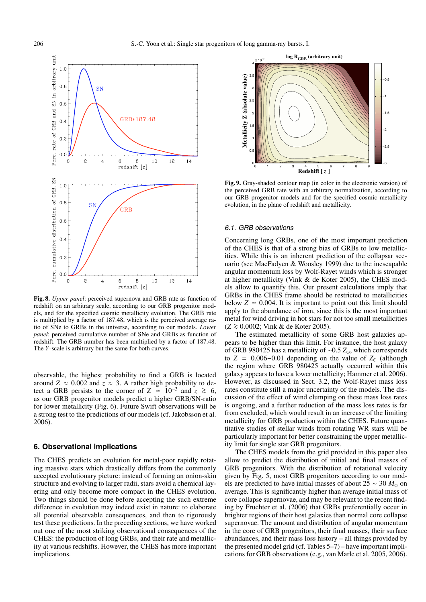

**Fig. 8.** *Upper panel*: perceived supernova and GRB rate as function of redshift on an arbitrary scale, according to our GRB progenitor models, and for the specified cosmic metallicity evolution. The GRB rate is multiplied by a factor of 187.48, which is the perceived average ratio of SNe to GRBs in the universe, according to our models. *Lower panel*: perceived cumulative number of SNe and GRBs as function of redshift. The GRB number has been multiplied by a factor of 187.48. The *Y*-scale is arbitrary but the same for both curves.

observable, the highest probability to find a GRB is located around  $Z \approx 0.002$  and  $z \approx 3$ . A rather high probability to detect a GRB persists to the corner of  $Z \approx 10^{-3}$  and  $z \approx 6$ , as our GRB progenitor models predict a higher GRB/SN-ratio for lower metallicity (Fig. 6). Future Swift observations will be a strong test to the predictions of our models (cf. Jakobsson et al. 2006).

#### **6. Observational implications**

The CHES predicts an evolution for metal-poor rapidly rotating massive stars which drastically differs from the commonly accepted evolutionary picture: instead of forming an onion-skin structure and evolving to larger radii, stars avoid a chemical layering and only become more compact in the CHES evolution. Two things should be done before accepting the such extreme difference in evolution may indeed exist in nature: to elaborate all potential observable consequences, and then to rigorously test these predictions. In the preceding sections, we have worked out one of the most striking observational consequences of the CHES: the production of long GRBs, and their rate and metallicity at various redshifts. However, the CHES has more important implications.



**Fig. 9.** Gray-shaded contour map (in color in the electronic version) of the perceived GRB rate with an arbitrary normalization, according to our GRB progenitor models and for the specified cosmic metallicity evolution, in the plane of redshift and metallicity.

#### 6.1. GRB observations

Concerning long GRBs, one of the most important prediction of the CHES is that of a strong bias of GRBs to low metallicities. While this is an inherent prediction of the collapsar scenario (see MacFadyen & Woosley 1999) due to the inescapable angular momentum loss by Wolf-Rayet winds which is stronger at higher metallicity (Vink & de Koter 2005), the CHES models allow to quantify this. Our present calculations imply that GRBs in the CHES frame should be restricted to metallicities below  $Z \approx 0.004$ . It is important to point out this limit should apply to the abundance of iron, since this is the most important metal for wind driving in hot stars for not too small metallicities (*<sup>Z</sup>* <sup>&</sup>gt;<sup>∼</sup> <sup>0</sup>.0002; Vink & de Koter 2005).

The estimated metallicity of some GRB host galaxies appears to be higher than this limit. For instance, the host galaxy of GRB 980425 has a metallicity of ∼0.5 *Z*, which corresponds to  $Z = 0.006 - 0.01$  depending on the value of  $Z_{\odot}$  (although the region where GRB 980425 actually occurred within this galaxy appears to have a lower metallicity; Hammer et al. 2006). However, as discussed in Sect. 3.2, the Wolf-Rayet mass loss rates constitute still a major uncertainty of the models. The discussion of the effect of wind clumping on these mass loss rates is ongoing, and a further reduction of the mass loss rates is far from excluded, which would result in an increase of the limiting metallicity for GRB production within the CHES. Future quantitative studies of stellar winds from rotating WR stars will be particularly important for better constraining the upper metallicity limit for single star GRB progenitors.

The CHES models from the grid provided in this paper also allow to predict the distribution of initial and final masses of GRB progenitors. With the distribution of rotational velocity given by Fig. 5, most GRB progenitors according to our models are predicted to have initial masses of about 25  $\sim$  30  $M_{\odot}$  on average. This is significantly higher than average initial mass of core collapse supernovae, and may be relevant to the recent finding by Fruchter et al. (2006) that GRBs preferentially occur in brighter regions of their host galaxies than normal core collapse supernovae. The amount and distribution of angular momentum in the core of GRB progenitors, their final masses, their surface abundances, and their mass loss history – all things provided by the presented model grid (cf. Tables 5–7) – have important implications for GRB observations (e.g., van Marle et al. 2005, 2006).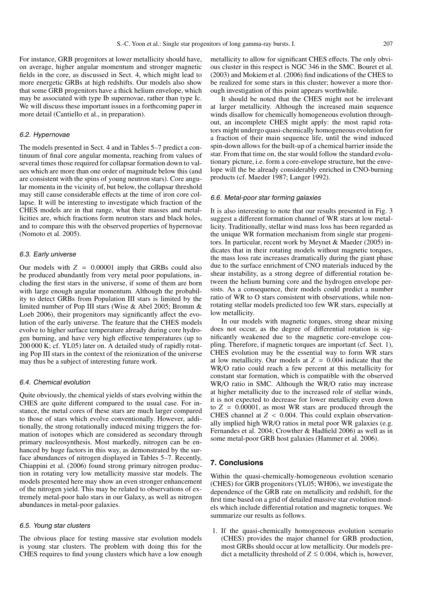For instance, GRB progenitors at lower metallicity should have, on average, higher angular momentum and stronger magnetic fields in the core, as discussed in Sect. 4, which might lead to more energetic GRBs at high redshifts. Our models also show that some GRB progenitors have a thick helium envelope, which may be associated with type Ib supernovae, rather than type Ic. We will discuss these important issues in a forthcoming paper in more detail (Cantiello et al., in preparation).

#### 6.2. Hypernovae

The models presented in Sect. 4 and in Tables 5–7 predict a continuum of final core angular momenta, reaching from values of several times those required for collapsar formation down to values which are more than one order of magnitude below this (and are consistent with the spins of young neutron stars). Core angular momenta in the vicinity of, but below, the collapsar threshold may still cause considerable effects at the time of iron core collapse. It will be interesting to investigate which fraction of the CHES models are in that range, what their masses and metallicities are, which fractions form neutron stars and black holes, and to compare this with the observed properties of hypernovae (Nomoto et al. 2005).

#### 6.3. Early universe

Our models with  $Z = 0.00001$  imply that GRBs could also be produced abundantly from very metal poor populations, including the first stars in the universe, if some of them are born with large enough angular momentum. Although the probability to detect GRBs from Population III stars is limited by the limited number of Pop III stars (Wise & Abel 2005; Bromm & Loeb 2006), their progenitors may significantly affect the evolution of the early universe. The feature that the CHES models evolve to higher surface temperature already during core hydrogen burning, and have very high effective temperatures (up to 200 000 K; cf. YL05) later on. A detailed study of rapidly rotating Pop III stars in the context of the reionization of the universe may thus be a subject of interesting future work.

#### 6.4. Chemical evolution

Quite obviously, the chemical yields of stars evolving within the CHES are quite different compared to the usual case. For instance, the metal cores of these stars are much larger compared to those of stars which evolve conventionally. However, additionally, the strong rotationally induced mixing triggers the formation of isotopes which are considered as secondary through primary nucleosynthesis. Most markedly, nitrogen can be enhanced by huge factors in this way, as demonstrated by the surface abundances of nitrogen displayed in Tables 5–7. Recently, Chiappini et al. (2006) found strong primary nitrogen production in rotating very low metallicity massive star models. The models presented here may show an even stronger enhancement of the nitrogen yield. This may be related to observations of extremely metal-poor halo stars in our Galaxy, as well as nitrogen abundances in metal-poor galaxies.

#### 6.5. Young star clusters

The obvious place for testing massive star evolution models is young star clusters. The problem with doing this for the CHES requires to find young clusters which have a low enough

metallicity to allow for significant CHES effects. The only obvious cluster in this respect is NGC 346 in the SMC. Bouret et al. (2003) and Mokiem et al. (2006) find indications of the CHES to be realized for some stars in this cluster; however a more thorough investigation of this point appears worthwhile.

It should be noted that the CHES might not be irrelevant at larger metallicity. Although the increased main sequence winds disallow for chemically homogeneous evolution throughout, an incomplete CHES might apply: the most rapid rotators might undergo quasi-chemically homogeneous evolution for a fraction of their main sequence life, until the wind induced spin-down allows for the built-up of a chemical barrier inside the star. From that time on, the star would follow the standard evolutionary picture, i.e. form a core-envelope structure, but the envelope will the be already considerably enriched in CNO-burning products (cf. Maeder 1987; Langer 1992).

#### 6.6. Metal-poor star forming galaxies

It is also interesting to note that our results presented in Fig. 3 suggest a different formation channel of WR stars at low metallicity. Traditionally, stellar wind mass loss has been regarded as the unique WR formation mechanism from single star progenitors. In particular, recent work by Meynet & Maeder (2005) indicates that in their rotating models without magnetic torques, the mass loss rate increases dramatically during the giant phase due to the surface enrichment of CNO materials induced by the shear instability, as a strong degree of differential rotation between the helium burning core and the hydrogen envelope persists. As a consequence, their models could predict a number ratio of WR to O stars consistent with observations, while nonrotating stellar models predicted too few WR stars, especially at low metallicity.

In our models with magnetic torques, strong shear mixing does not occur, as the degree of differential rotation is significantly weakened due to the magnetic core-envelope coupling. Therefore, if magnetic torques are important (cf. Sect. 1), CHES evolution may be the essential way to form WR stars at low metallicity. Our models at  $Z = 0.004$  indicate that the WR/O ratio could reach a few percent at this metallicity for constant star formation, which is compatible with the observed WR/O ratio in SMC. Although the WR/O ratio may increase at higher metallicity due to the increased role of stellar winds, it is not expected to decrease for lower metallicity even down to  $Z = 0.00001$ , as most WR stars are produced through the CHES channel at *Z* < 0.004. This could explain observationally implied high WR/O ratios in metal poor WR galaxies (e.g. Fernandes et al. 2004; Crowther & Hadfield 2006) as well as in some metal-poor GRB host galaxies (Hammer et al. 2006).

#### **7. Conclusions**

Within the quasi-chemically-homogeneous evolution scenario (CHES) for GRB progenitors (YL05; WH06), we investigate the dependence of the GRB rate on metallicity and redshift, for the first time based on a grid of detailed massive star evolution models which include differential rotation and magnetic torques. We summarize our results as follows.

1. If the quasi-chemically homogeneous evolution scenario (CHES) provides the major channel for GRB production, most GRBs should occur at low metallicity. Our models predict a metallicity threshold of  $Z$  ≤ 0.004, which is, however,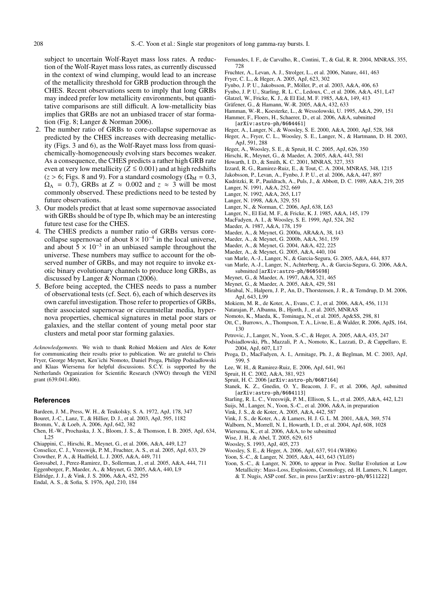subject to uncertain Wolf-Rayet mass loss rates. A reduction of the Wolf-Rayet mass loss rates, as currently discussed in the context of wind clumping, would lead to an increase of the metallicity threshold for GRB production through the CHES. Recent observations seem to imply that long GRBs may indeed prefer low metallicity environments, but quantitative comparisons are still difficult. A low-metallicity bias implies that GRBs are not an unbiased tracer of star formation (Fig. 8; Langer & Norman 2006).

- 2. The number ratio of GRBs to core-collapse supernovae as predicted by the CHES increases with decreasing metallicity (Figs. 3 and 6), as the Wolf-Rayet mass loss from quasichemically-homogeneously evolving stars becomes weaker. As a consequence, the CHES predicts a rather high GRB rate even at very low metallicity ( $Z \le 0.001$ ) and at high redshifts  $(z > 6$ ; Figs. 8 and 9). For a standard cosmology ( $\Omega_M = 0.3$ ,  $\Omega_{\Lambda}$  = 0.7), GRBs at *Z*  $\approx$  0.002 and *z*  $\approx$  3 will be most commonly observed. These predictions need to be tested by future observations.
- 3. Our models predict that at least some supernovae associated with GRBs should be of type Ib, which may be an interesting future test case for the CHES.
- 4. The CHES predicts a number ratio of GRBs versus corecollapse supernovae of about  $8 \times 10^{-4}$  in the local universe, and about  $5 \times 10^{-3}$  in an unbiased sample throughout the universe. These numbers may suffice to account for the observed number of GRBs, and may not require to invoke exotic binary evolutionary channels to produce long GRBs, as discussed by Langer & Norman (2006).
- 5. Before being accepted, the CHES needs to pass a number of observational tests (cf. Sect. 6), each of which deserves its own careful investigation. Those refer to properties of GRBs, their associated supernovae or circumstellar media, hypernova properties, chemical signatures in metal poor stars or galaxies, and the stellar content of young metal poor star clusters and metal poor star forming galaxies.

*Acknowledgements.* We wish to thank Rohied Mokiem and Alex de Koter for communicating their results prior to publication. We are grateful to Chris Fryer, George Meynet, Ken'ichi Nomoto, Daniel Proga, Philipp Podsiadlowski and Klaas Wiersema for helpful discussions. S.C.Y. is supported by the Netherlands Organization for Scientific Research (NWO) through the VENI grant (639.041.406).

#### **References**

- Bardeen, J. M., Press, W. H., & Teukolsky, S. A. 1972, ApJ, 178, 347
- Bouret, J.-C., Lanz, T., & Hillier, D. J., et al. 2003, ApJ, 595, 1182
- Bromm, V., & Loeb, A. 2006, ApJ, 642, 382
- Chen, H.-W., Prochaska, J. X., Bloom, J. S., & Thomson, I. B. 2005, ApJ, 634, L25
- Chiappini, C., Hirschi, R., Meynet, G., et al. 2006, A&A, 449, L27
- Conselice, C. J., Vreeswijk, P. M., Fruchter, A. S., et al. 2005, ApJ, 633, 29
- Crowther, P. A., & Hadfield, L. J. 2005, A&A, 449, 711
- Gorosabel, J., Perez-Ramirez, D., Sollerman, J., et al. 2005, A&A, 444, 711
- Eggenberger, P., Maeder, A., & Meynet, G. 2005, A&A, 440, L9
- Eldridge, J. J., & Vink, J. S. 2006, A&A, 452, 295
- Endal, A. S., & Sofia, S. 1976, ApJ, 210, 184
- Fernandes, I. F., de Carvalho, R., Contini, T., & Gal, R. R. 2004, MNRAS, 355, 728
- Fruchter, A., Levan, A. J., Strolger, L., et al. 2006, Nature, 441, 463
- Fryer, C. L., & Heger, A. 2005, ApJ, 623, 302
- Fynbo, J. P. U., Jakobsson, P., Möller, P., et al. 2003, A&A, 406, 63
- Fynbo, J. P. U., Starling, R. L. C., Ledoux, C., et al. 2006, A&A, 451, L47
- Glatzel, W., Fricke, K. J., & El Eid, M. F. 1985, A&A, 149, 413
- Gräfener, G., & Hamann, W.-R. 2005, A&A, 432, 633
- Hamman, W.-R., Koesterke, L., & Wessolowski, U. 1995, A&A, 299, 151 Hammer, F., Floers, H., Schaerer, D., et al. 2006, A&A, submitted
- [arXiv:astro-ph/0604461]
- Heger, A., Langer, N., & Woosley, S. E. 2000, A&A, 2000, ApJ, 528, 368 Heger, A., Fryer, C. L., Woosley, S. E., Langer, N., & Hartmann, D. H. 2003,
- ApJ, 591, 288
- Heger, A., Woosley, S. E., & Spruit, H. C. 2005, ApJ, 626, 350
- Hirschi, R., Meynet, G., & Maeder, A. 2005, A&A, 443, 581
- Howarth, I. D., & Smith, K. C. 2001, MNRAS, 327, 353
- Izzard, R. G., Ramirez-Ruiz, E., & Tout, C. A. 2004, MNRAS, 348, 1215
- 
- Jakobsson, P., Levan, A., Fynbo, J. P. U., et al. 2006, A&A, 447, 897
- Kudritzki, R. P., Pauldrach, A., Puls, J., & Abbott, D. C. 1989, A&A, 219, 205
- Langer, N. 1991, A&A, 252, 669
- Langer, N. 1992, A&A, 265, L17
- Langer, N. 1998, A&A, 329, 551
- Langer, N., & Norman, C. 2006, ApJ, 638, L63
- Langer, N., El Eid, M. F., & Fricke, K. J. 1985, A&A, 145, 179
- MacFadyen, A. I., & Woosley, S. E. 1999, ApJ, 524, 262
- Maeder, A. 1987, A&A, 178, 159
- Maeder, A., & Meynet, G. 2000a, ARA&A, 38, 143
- Maeder, A., & Meynet, G. 2000b, A&A, 361, 159
- 
- Maeder, A., & Meynet, G. 2004, A&A, 422, 225
- Maeder, A., & Meynet, G. 2005, A&A, 440, 104
- van Marle, A.-J., Langer, N., & Garcia-Segura, G. 2005, A&A, 444, 837
- van Marle, A.-J., Langer, N., Achterberg, A., & Garcia-Segura, G. 2006, A&A, submitted [arXiv:astro-ph/0605698]
- Meynet, G., & Maeder, A. 1997, A&A, 321, 465
- Meynet, G., & Maeder, A. 2005, A&A, 429, 581
- Mirabal, N., Halpern, J. P., An, D., Thorstensen, J. R., & Terndrup, D. M. 2006, ApJ, 643, L99
- Mokiem, M. R., de Koter, A., Evans, C. J., et al. 2006, A&A, 456, 1131
- Natarajan, P., Albanna, B., Hjorth, J., et al. 2005, MNRAS
- Nomoto, K., Maeda, K., Tominaga, N., et al. 2005, Ap&SS, 298, 81
- Ott, C., Burrows, A., Thompson, T. A., Livne, E., & Walder, R. 2006, ApJS, 164, 130
- Petrovic, J., Langer, N., Yoon, S.-C., & Heger, A. 2005, A&A, 435, 247
- Podsiadlowski, Ph., Mazzali, P. A., Nomoto, K., Lazzati, D., & Cappellaro, E. 2004, ApJ, 607, L17
- Proga, D., MacFadyen, A. I., Armitage, Ph. J., & Beglman, M. C. 2003, ApJ, 599, 5
- Lee, W. H., & Ramirez-Ruiz, E. 2006, ApJ, 641, 961
- Spruit, H. C. 2002, A&A, 381, 923
- Spruit, H. C. 2006 [arXiv:astro-ph/0607164]
- Stanek, K. Z., Gnedin, O. Y., Beacom, J. F., et al. 2006, ApJ, submitted [arXiv:astro-ph/0604113]
- Starling, R. L. C., Vreeswijk, P. M., Ellison, S. L., et al. 2005, A&A, 442, L21
- Suijs, M., Langer, N., Yoon, S.-C., et al. 2006, A&A, in preparation
- Vink, J. S., & de Koter, A. 2005, A&A, 442, 587
- Vink, J. S., de Koter, A., & Lamers, H. J. G. L. M. 2001, A&A, 369, 574
- Walborn, N., Morrell, N. I., Howarth, I. D., et al. 2004, ApJ, 608, 1028
- Wiersema, K., et al. 2006, A&A, to be submitted
	- Wise, J. H., & Abel, T. 2005, 629, 615
	- Woosley, S. 1993, ApJ, 405, 273
- 
- Woosley, S. E., & Heger, A. 2006, ApJ, 637, 914 (WH06)
- Yoon, S.-C., & Langer, N. 2005, A&A, 443, 643 (YL05)
- Yoon, S.-C., & Langer, N. 2006, to appear in Proc. Stellar Evolution at Low Metallicity: Mass-Loss, Explosions, Cosmology, ed. H. Lamers, N. Langer, & T. Nugis, ASP conf. Ser., in press [arXiv:astro-ph/0511222]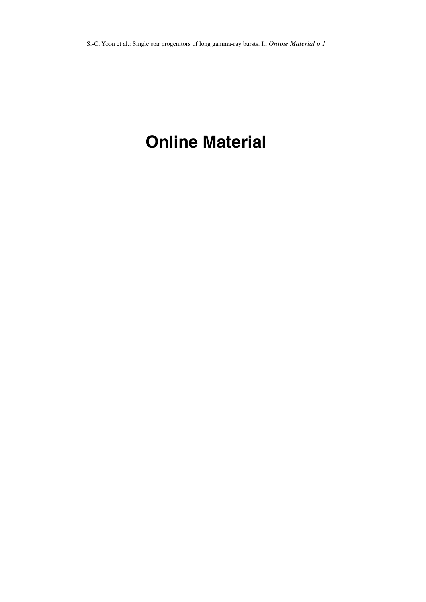# **Online Material**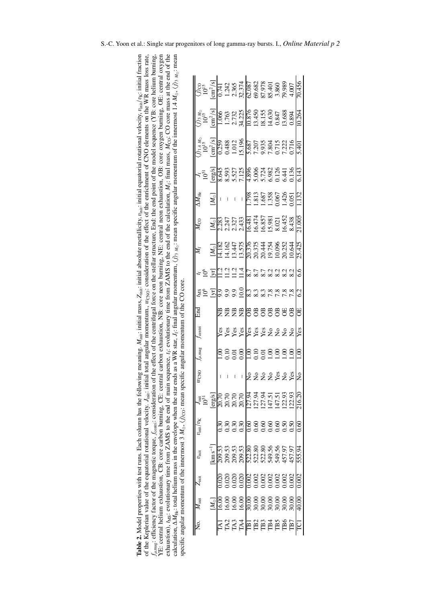| stion), $t_{MS}$ : evolutionary time from ZAMS to the end of main sequence, $t_i$ : evolutionary time from ZAMS to the end of the calculation, $M_i$ : final mass, $M_{CO}$ : CO core mass at the end of the<br>ation, $\Delta M_{\text{He}}$ : total helium mass in the envelope when the star bless as a WR star, J <sub>r</sub> : final angular momentum, $\langle j \rangle_3$ $M_6$ : mean specific angular momentum of the innermost 1.4 $M_0$ , $\langle j \rangle_3$ $M_6$ ; mean<br>meaning. $M_{\text{int}}$ : initial mass, $Z_{\text{int}}$ : initial absolute metallicity, $v_{\text{int}}$ : initial equatorial rotational velocity, $v_{\text{int}}/v_{\text{E}}$ : initial fraction<br>Keplerian value of the equatorial rotational velocity. $J_{\text{init}}$ ; initial total angular momentum, $w_{\text{CNO}}$ : consideration of the effect of the emichment of CNO elements on the WR mass loss rate,<br>carbon exhaustion, NB: core neon burning, NE: central neon exhaustion, OB: core oxygen burning, OE: central oxygen<br>e effect of the centrifugal force on the stellar structure, End: the end point of the model sequence (YB: core helium burning, | $(i)$ co                                  | $\text{cm}^2/\text{s}$         | 0.741  | 1.242  | 2.365             | 32.374           | 62.087         | 69.682        | 87.978<br>85.401 |                           | 3.860       | 79.989          |               | 70.456        |
|-------------------------------------------------------------------------------------------------------------------------------------------------------------------------------------------------------------------------------------------------------------------------------------------------------------------------------------------------------------------------------------------------------------------------------------------------------------------------------------------------------------------------------------------------------------------------------------------------------------------------------------------------------------------------------------------------------------------------------------------------------------------------------------------------------------------------------------------------------------------------------------------------------------------------------------------------------------------------------------------------------------------------------------------------------------------------------------------------------------------------------------------------------------------------------------|-------------------------------------------|--------------------------------|--------|--------|-------------------|------------------|----------------|---------------|------------------|---------------------------|-------------|-----------------|---------------|---------------|
|                                                                                                                                                                                                                                                                                                                                                                                                                                                                                                                                                                                                                                                                                                                                                                                                                                                                                                                                                                                                                                                                                                                                                                                     | $(i)$ <sub>3 <math>M_{\odot}</math></sub> | $\text{cm}^2/\text{s}$         | 1.066  | 1.763  | 2.732             | 34.225           | 0.876          | 13.450        | 18.155           | 14.630                    | 0.847       | 13.688          | 0.894         | 10.264        |
|                                                                                                                                                                                                                                                                                                                                                                                                                                                                                                                                                                                                                                                                                                                                                                                                                                                                                                                                                                                                                                                                                                                                                                                     | $(j)_{1.4 M_{\odot}}$                     | $\mathrm{cm}^2/\mathrm{s}$     | 0.259  | 1.488  | 1.012             | 15.196           | 5.687          | 7.207         | 9.935            | 7.804<br>0.715            |             | 1.222           | 0.716         | 5.401         |
|                                                                                                                                                                                                                                                                                                                                                                                                                                                                                                                                                                                                                                                                                                                                                                                                                                                                                                                                                                                                                                                                                                                                                                                     | 51                                        | [erg/s]                        | 8.645  | 8.593  | 5.527<br>7.125    |                  | 4.896          | 5.006         | 5.724            | 5.982                     | 0.126       | 5.441           | 0.136         | 6.143         |
|                                                                                                                                                                                                                                                                                                                                                                                                                                                                                                                                                                                                                                                                                                                                                                                                                                                                                                                                                                                                                                                                                                                                                                                     | $\overline{\Delta M}_{\rm He}$            | $N_{\odot}$                    |        |        |                   | I                | .798           | .813          | .687             | 1.358                     | 1.067       | 1.426           | .051          | 1.132         |
|                                                                                                                                                                                                                                                                                                                                                                                                                                                                                                                                                                                                                                                                                                                                                                                                                                                                                                                                                                                                                                                                                                                                                                                     | $\bar{M}_{\rm CO}$                        | $[M_{\odot}]$                  | 2.283  | 2.247  | 2.327             | 2.433            | 16.481         | 16.474        | 16.857           | 15.981                    | 8.021       | 16.452          | 8.438         | 21.005        |
|                                                                                                                                                                                                                                                                                                                                                                                                                                                                                                                                                                                                                                                                                                                                                                                                                                                                                                                                                                                                                                                                                                                                                                                     | Ń,                                        | $\Xi$                          | 1.182  | 4.162  | 13.447            | 13.575           | 20.376         | 20.375        | 20.444           | 19.754                    | 0.096       | 20.252          | 0.644         | 25.425        |
|                                                                                                                                                                                                                                                                                                                                                                                                                                                                                                                                                                                                                                                                                                                                                                                                                                                                                                                                                                                                                                                                                                                                                                                     | ೬                                         | [γr]                           |        |        | 11.2              | 1.4              | 8.7            |               |                  | 8.2                       | 8.2         | 8.2             | 8.2           | 6.6           |
|                                                                                                                                                                                                                                                                                                                                                                                                                                                                                                                                                                                                                                                                                                                                                                                                                                                                                                                                                                                                                                                                                                                                                                                     | <b>IMS</b>                                | $\mathbb{F}$                   | 9.9    |        |                   | $\frac{0.01}{2}$ |                | 8.3           |                  |                           | 7.8         | 7.8             |               | 62            |
|                                                                                                                                                                                                                                                                                                                                                                                                                                                                                                                                                                                                                                                                                                                                                                                                                                                                                                                                                                                                                                                                                                                                                                                     | End<br>Eil                                |                                | £€     | 岊      | ₽                 | E                | පී             | $\mathcal{B}$ | $\mathcal{B}$    | පී                        | පී          | F               | පී            | 5             |
|                                                                                                                                                                                                                                                                                                                                                                                                                                                                                                                                                                                                                                                                                                                                                                                                                                                                                                                                                                                                                                                                                                                                                                                     | <b>J</b> centri                           |                                | Yes    |        | Yes<br>Yes        | Yes              | Yes            |               | Yes<br>Yes       | $\mathsf{S}$              | $\tilde{z}$ | $\epsilon$      | $\frac{1}{2}$ | Yes           |
| angular momentum of the CO core.                                                                                                                                                                                                                                                                                                                                                                                                                                                                                                                                                                                                                                                                                                                                                                                                                                                                                                                                                                                                                                                                                                                                                    | $J\mu$ , mag                              |                                |        | 0I.C   | $\overline{0.01}$ | $_{\rm 0.00}$    |                | 0I.C          | 0.01             | 00.1                      | 00.1        | $\overline{00}$ | 00.1          | <u>ອີ</u>     |
|                                                                                                                                                                                                                                                                                                                                                                                                                                                                                                                                                                                                                                                                                                                                                                                                                                                                                                                                                                                                                                                                                                                                                                                     | $w_{\text{CNO}}$                          |                                |        |        |                   |                  | $\frac{1}{2}$  | $\frac{1}{2}$ | $\mathsf{S}$     | $\mathsf{S}^{\mathsf{O}}$ | Yes         | $\overline{a}$  | Yes           | $\frac{1}{2}$ |
|                                                                                                                                                                                                                                                                                                                                                                                                                                                                                                                                                                                                                                                                                                                                                                                                                                                                                                                                                                                                                                                                                                                                                                                     | J <sub>init</sub><br>1051                 | $[\mathrm{erg/s}]$             | 20.70  | 20.70  | 20.70             | 20.70            | I27.94         | 127.94        | 127.94           | 147.51                    | 147.51      | 122.93          | 122.93        | 216.20        |
|                                                                                                                                                                                                                                                                                                                                                                                                                                                                                                                                                                                                                                                                                                                                                                                                                                                                                                                                                                                                                                                                                                                                                                                     | $v_{\text{init}}/v_{\text{K}}$            |                                |        | 0.30   | 0.30              | 0.30             | 8<br>0.60      | 0.60          | 0.60             | 0.60                      | 0.60        | 0.50            | 0.50          | <b>89.0</b>   |
| efficiency factor of the magnetic torque, $f_{\text{cent}}$ : consideration of the<br>2. Model properties with test runs. Each column has the following                                                                                                                                                                                                                                                                                                                                                                                                                                                                                                                                                                                                                                                                                                                                                                                                                                                                                                                                                                                                                             | $U_{\rm init}$                            | $\mathrm{km}\,\mathrm{s}^{-1}$ | 209.53 | 209.53 | 209.53            | 209.53           | 522.80         | 522.80        | 522.80           | 549.56                    | 549.56      | 457.97          | 457.97        | 555.94        |
|                                                                                                                                                                                                                                                                                                                                                                                                                                                                                                                                                                                                                                                                                                                                                                                                                                                                                                                                                                                                                                                                                                                                                                                     | $Z_{\text{init}}$                         |                                | 0.020  | 0.020  | 0.020             | 0.020            | 0.002          | 0.002         | 0.002            | 0.002                     | 0.002       | 0.002           | 0.002         | 0.002         |
|                                                                                                                                                                                                                                                                                                                                                                                                                                                                                                                                                                                                                                                                                                                                                                                                                                                                                                                                                                                                                                                                                                                                                                                     | $M_{\rm init}$                            | $[M_{\odot}]$                  | 16.00  | 16.00  | 16.00             | 16.00            | 30.00          | 30.00         | 30.00            | 30.00                     | 30.00       | 30.00           | 30.00         | 40.00         |
| fic angular momentum of the innermost $3 M_{\odot}$ , $(j)_{\rm CO}$ : mean specific<br>central helium exhaustion, CB: core carbon burning, CE: central                                                                                                                                                                                                                                                                                                                                                                                                                                                                                                                                                                                                                                                                                                                                                                                                                                                                                                                                                                                                                             |                                           |                                |        | TA2    | TA3               | TA4              | $\overline{1}$ | TB2           | TB3              | TB4                       | TB5         | TB6             |               |               |

| <b>Table 2.</b> Model properties with test runs. Each column has the following meaning. $M_{\text{init}}$ initial mass, $Z_{\text{init}}$ initial absolute metallicity, $v_{\text{init}}$ initial equatorial rotational velocity, $v_{\text{init}}/v_{\text{K}}$ : initi<br>of the Keplerian value of the equatorial rotational velocity. $J_{\text{init}}$ ; initial total angular momentum, $w_{\text{CNO}}$ ; consideration of the effect of the emichment of CNO elements on the WR mass loss rate,<br>$t_{\text{mag}}$ : efficiency factor of the magnetic torque, $f_{\text{cent}}$ ; consideration of the effect of the centrifugal force on the stellar structure, End: the end point of the model sequence (YB: core helium burning,<br>YE: central helium exhaustion, CB: core carbon burning, CE: central carbon exhaustion, NB: core neon burning, NE: central neon exhaustion, OB: core oxygen burning, OE: central oxygen<br>exhaustion), $t_{MS}$ : evolutionary time from ZAMS to the end of main sequence, $t_i$ : evolutionary time from ZAMS to the end of the calculation, $M_i$ : final mass, $M_{CO}$ : CO core mass at the end of the<br>calculation, $\Delta M_{\text{He}}$ ; total helium mass in the envelope when the star then the star MR star, $J_f$ ; final angular momentum, $\langle j \rangle_3$ $M_{\text{e}}$ ; mean specific angular momentum of the innermost 1.4 $M_{\text{e}}$ , $\langle j \rangle_3$<br>specific angular momentum of the innermost 3 $M_{\odot}$ , $j_{\rm CO}$ ; mean specific angular momentum of the CO core. |
|----------------------------------------------------------------------------------------------------------------------------------------------------------------------------------------------------------------------------------------------------------------------------------------------------------------------------------------------------------------------------------------------------------------------------------------------------------------------------------------------------------------------------------------------------------------------------------------------------------------------------------------------------------------------------------------------------------------------------------------------------------------------------------------------------------------------------------------------------------------------------------------------------------------------------------------------------------------------------------------------------------------------------------------------------------------------------------------------------------------------------------------------------------------------------------------------------------------------------------------------------------------------------------------------------------------------------------------------------------------------------------------------------------------------------------------------------------------------------------------------------------------------------------------------------------------------------|
|----------------------------------------------------------------------------------------------------------------------------------------------------------------------------------------------------------------------------------------------------------------------------------------------------------------------------------------------------------------------------------------------------------------------------------------------------------------------------------------------------------------------------------------------------------------------------------------------------------------------------------------------------------------------------------------------------------------------------------------------------------------------------------------------------------------------------------------------------------------------------------------------------------------------------------------------------------------------------------------------------------------------------------------------------------------------------------------------------------------------------------------------------------------------------------------------------------------------------------------------------------------------------------------------------------------------------------------------------------------------------------------------------------------------------------------------------------------------------------------------------------------------------------------------------------------------------|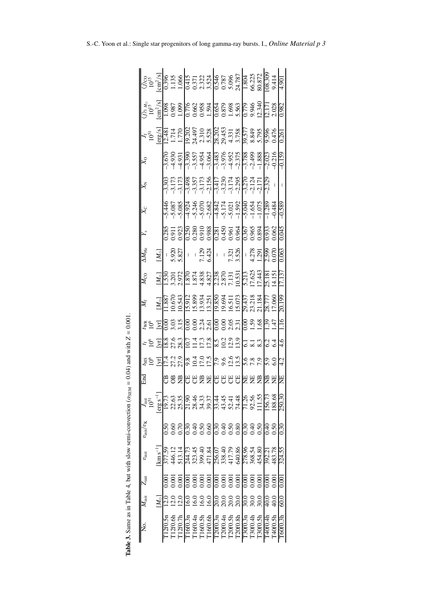|                                                                                | $6\frac{1}{2}$<br>$6\frac{1}{2}$<br>$6\frac{1}{2}$<br>$6\frac{1}{2}$<br>$1\frac{1}{2}$<br>$6\frac{1}{2}$<br>$1\frac{1}{2}$<br>$1\frac{1}{2}$<br>$1\frac{1}{2}$<br>$1\frac{1}{2}$<br>$1\frac{1}{2}$<br>$1\frac{1}{2}$<br>$1\frac{1}{2}$<br>$1\frac{1}{2}$<br>$1\frac{1}{2}$<br>$1\frac{1}{2}$<br>$1\frac{1}{2}$<br>$1\frac{1}{2}$<br>$1\frac{$ |                    |         |              |                                                                                                                                                                                                                                                                                                                                           |               |         |                            |                                          |               |         |                                      |                 |           |                            |                |                           | 9.414             | 1067               |
|--------------------------------------------------------------------------------|-----------------------------------------------------------------------------------------------------------------------------------------------------------------------------------------------------------------------------------------------------------------------------------------------------------------------------------------------|--------------------|---------|--------------|-------------------------------------------------------------------------------------------------------------------------------------------------------------------------------------------------------------------------------------------------------------------------------------------------------------------------------------------|---------------|---------|----------------------------|------------------------------------------|---------------|---------|--------------------------------------|-----------------|-----------|----------------------------|----------------|---------------------------|-------------------|--------------------|
|                                                                                | $\frac{\binom{1}{1}3 M_{\odot}}{10^{15}}$                                                                                                                                                                                                                                                                                                     |                    |         |              |                                                                                                                                                                                                                                                                                                                                           |               |         |                            |                                          |               |         |                                      |                 |           |                            |                |                           |                   |                    |
|                                                                                | $\frac{J_{\rm f}}{10^{51}}$<br>erg/s]                                                                                                                                                                                                                                                                                                         |                    |         |              | 01481<br>1770 0205 0206 0305 0306<br>1770 0205 0306 0305 0306<br>1270 0205 0306 0306 0306 0306<br>1270 0306 0306 0306 0306                                                                                                                                                                                                                |               |         |                            |                                          |               |         |                                      |                 |           |                            |                |                           |                   | 0.261              |
|                                                                                | $\mathcal{R}_{\mathsf{O}}$                                                                                                                                                                                                                                                                                                                    |                    |         |              |                                                                                                                                                                                                                                                                                                                                           |               |         |                            |                                          |               |         |                                      |                 |           |                            |                |                           |                   |                    |
|                                                                                | $\breve{\mathsf{x}}$                                                                                                                                                                                                                                                                                                                          |                    |         |              |                                                                                                                                                                                                                                                                                                                                           |               |         |                            |                                          |               |         |                                      |                 |           |                            |                | $-2.325$                  |                   |                    |
|                                                                                | $\chi$                                                                                                                                                                                                                                                                                                                                        |                    |         |              |                                                                                                                                                                                                                                                                                                                                           |               |         |                            |                                          |               |         |                                      |                 |           |                            |                |                           |                   | $-0.589$           |
|                                                                                | Y.                                                                                                                                                                                                                                                                                                                                            |                    |         |              |                                                                                                                                                                                                                                                                                                                                           |               |         |                            |                                          |               |         |                                      |                 |           |                            |                |                           |                   | 0.045              |
|                                                                                | $\Delta M_{\rm He}$                                                                                                                                                                                                                                                                                                                           |                    |         |              | $\begin{array}{ c c c c c c } \hline M_{\odot} & \overline{N}_{\odot} & \overline{N}_{\odot} \\ \hline 1,5,920 & - & 1234 & - & 1231 & - & 1231 & - & 1231 & - & 1231 & - & 1231 & - & 1231 & - & 1231 & - & 1231 & - & 1231 & - & 1231 & - & 1231 & - & 1231 & - & 1231 & - & 1231 & - & 1231 & - & 1231 & - & 1231 & - & 1231 & - & 12$ |               |         |                            |                                          |               |         |                                      |                 |           |                            |                |                           |                   | 0.063              |
|                                                                                | $M_{\rm CO}$                                                                                                                                                                                                                                                                                                                                  |                    |         |              |                                                                                                                                                                                                                                                                                                                                           |               |         |                            |                                          |               |         |                                      |                 |           |                            |                | 15.151<br>14.151          |                   | 17.137             |
|                                                                                | Ń,                                                                                                                                                                                                                                                                                                                                            |                    |         |              |                                                                                                                                                                                                                                                                                                                                           |               |         |                            |                                          |               |         |                                      |                 |           |                            |                |                           |                   | 20.199             |
|                                                                                | ES E                                                                                                                                                                                                                                                                                                                                          |                    |         |              | ខីនិង188ងដុ <mark>ខ</mark> ្លួន និង<br>ខ្លួន ដូ <u>ន្រី</u><br>ខ្លួន ដូន្រី                                                                                                                                                                                                                                                               |               |         |                            |                                          |               |         |                                      |                 |           | 6.98                       |                | $\frac{139}{47}$          |                   | 9UT                |
| $= 0.04$ ) and with $Z = 0.001$                                                | $\star$ 2 $\Xi$                                                                                                                                                                                                                                                                                                                               |                    |         |              | 18.8<br>27.6<br>28.3                                                                                                                                                                                                                                                                                                                      |               |         |                            | 27.798622222727                          |               |         |                                      |                 |           |                            |                | 6.4<br>6.4                |                   | 9.7                |
|                                                                                | 281                                                                                                                                                                                                                                                                                                                                           | $\overline{y}$     |         | 1772<br>1772 |                                                                                                                                                                                                                                                                                                                                           |               |         |                            |                                          |               |         |                                      |                 |           |                            |                | 5.0<br>6.0                |                   | 42<br>4            |
|                                                                                | 日<br>日<br>日                                                                                                                                                                                                                                                                                                                                   |                    |         |              | 曾登問                                                                                                                                                                                                                                                                                                                                       |               |         |                            | 登보법법법법법보법법법                              |               |         |                                      |                 |           |                            |                |                           |                   | 岂                  |
|                                                                                | Ē<br>Ē                                                                                                                                                                                                                                                                                                                                        | $erg s^{-1}$       |         |              | 22.63<br>25.35                                                                                                                                                                                                                                                                                                                            |               |         |                            | 0.94327445<br>0.843274444<br>0.843284544 |               |         |                                      |                 |           | 71.26<br>92.56<br>111.55   |                | 156.73                    | 88.68             | 250.30             |
|                                                                                | $v_{\rm init}/v_{\rm K}$                                                                                                                                                                                                                                                                                                                      |                    | 0.50    | 0.60         | 0.70                                                                                                                                                                                                                                                                                                                                      | 30.30         | Эť      |                            | 5 8 8 9 9 8 9<br>5 9 8 9 9 9 8           |               |         |                                      |                 |           | 0.30                       | 0.50           | 9.40                      | 0.50              | 0.30               |
|                                                                                | $v_{\rm init}$                                                                                                                                                                                                                                                                                                                                | $km s^{-1}$        |         | 146.12       | 513.14                                                                                                                                                                                                                                                                                                                                    | 244.73        |         | 323.45<br>399.84<br>471.84 |                                          |               |         | 256.07<br>338.40<br>417.79<br>640.86 |                 |           | 278.96<br>368.54<br>454.80 |                | 392.21                    | 483.78            | 324.55             |
|                                                                                | $L_{init}$                                                                                                                                                                                                                                                                                                                                    |                    |         | 0.00         | 00 <sup>2</sup>                                                                                                                                                                                                                                                                                                                           | $\frac{8}{1}$ | 00(     | 0.001                      |                                          | $\frac{8}{1}$ | 00(     | 0.00                                 | 00 <sub>i</sub> | $\approx$ | 0.00                       | $\overline{6}$ | $\widetilde{\mathrm{SO}}$ | 90 <sub>1</sub>   | 0.00               |
|                                                                                | $M_{\rm init}$                                                                                                                                                                                                                                                                                                                                | $\mathbf{M}_\odot$ |         |              | $\frac{0}{20}$                                                                                                                                                                                                                                                                                                                            | $\frac{6}{3}$ | ွှ      | $\frac{0}{2}$              | 16.0                                     | 20.           | 20(     | 20.0                                 | 20.0            |           | 30 <sub>c</sub>            | 30.0           |                           | $\overline{40.0}$ | $\rm \ddot{\rm s}$ |
| de 3. Same as in Table 4, but with slow semi-convection ( $\alpha_{\rm SEM}$ ) |                                                                                                                                                                                                                                                                                                                                               |                    | 12f0.5r | 12f0.6f      | 12f0.7h                                                                                                                                                                                                                                                                                                                                   | 16f0.3r       | 16f0.4n | 1660.5h                    | 16f0.6h                                  | 20f0.3n       | 20f0.4n | [20f0.5h                             | 20f0.8h         | 130f0.3r  | r30f0.4h                   | 30f0.5h        | [40f0.4h                  | r40f0.5h          | F60f0.3h           |

| $_{\text{EM}}$ = 0.04) and with $Z = 0.001$                        |  |
|--------------------------------------------------------------------|--|
|                                                                    |  |
|                                                                    |  |
|                                                                    |  |
|                                                                    |  |
|                                                                    |  |
|                                                                    |  |
|                                                                    |  |
|                                                                    |  |
|                                                                    |  |
| is in Table 4, but with slow semi-convection ( $\alpha_{\rm sm}$ ) |  |
|                                                                    |  |
|                                                                    |  |
|                                                                    |  |
|                                                                    |  |
|                                                                    |  |
|                                                                    |  |
|                                                                    |  |
|                                                                    |  |
|                                                                    |  |
|                                                                    |  |
| I                                                                  |  |
|                                                                    |  |
|                                                                    |  |
| $\sim$ kilo 2. Come of<br>י                                        |  |
|                                                                    |  |
| Ē                                                                  |  |
|                                                                    |  |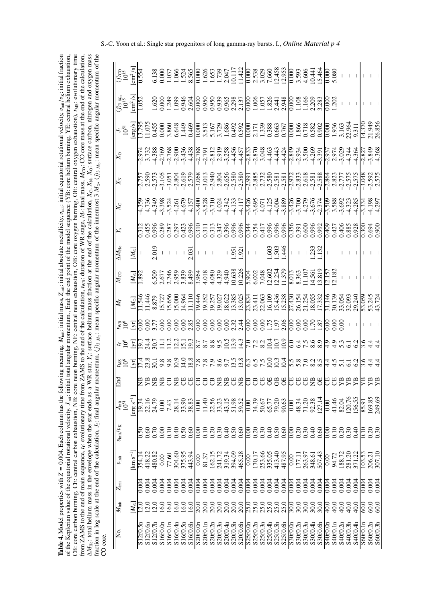CB: core carbon burning, CE: central carbon exhaustion, NB: core neon burning, NE: central neon exhaustion, OB: core oxygen burning, OE: central oxygen exhaustion), t<sub>MS</sub>: evolutionary time  $\Delta M_{\text{He}}$ : total helium mass in the envelope when the star ends as a WR star,  $Y_s$ : surface helium mass fraction at the end of the calculation,  $X_c$ ,  $X_0$ ,  $X_0$ ; surface carbon, nitrogen and oxygen mass  $Z_{\text{ini}}$ : initial absolute metallicity,  $v_{\text{ini}}$ : initial equatorial rotational velocity,  $v_{\text{ini}}/v_K$ : initial fraction of the Keplerian value of the equatorial rotational velocity.  $J_{\text{init}}$ : initial total angular momentum, End: the end point of the model sequence (YB: core helium burning, YE: central helium exhaustion, of the Keplerian value of the equatorial rotational velocity. *J<sub>init</sub>*: initial total angular momentum., End: the end point of the model sequence (YB: core helium burning, YE: central helium exhaustion, CB: core carbon burning, CE: central carbon exhaustion, NB: core neon burning, NE: central neon exhaustion, OB: core oxygen burning, OE: central oxygen exhaustion), *t*MS: evolutionary time from ZAMS to the end of main sequence,  $t_i$ : evolutionary time from ZAMS to the end of the calculation,  $t_{\text{WR}}$ ; duration of WR stage,  $M_i$ : final mass,  $M_{\text{CO}}$ : CO core mass at the end of the calculation, *M*<sub>CO</sub>: CO core mass at the end of the calculation, *X*C, *X*N, *X*O: surface carbon, nitrogen and oxygen mass fraction in log scale at the end of the calculation,  $J_f$ : final angular momentum,  $\langle j \rangle_{3M_0}$ : mean specific angular momentum of the innermost  $3 M_0$ ,  $\langle j \rangle_{3M_0}$ : mean specific angular momentum of the  $M_{\odot}$ ,  $\langle j \rangle$ <sub>3</sub>  $_{M_{\odot}}$ : mean specific angular momentum of the  $M_{\rm f}$ : final mass, fraction in log scale at the end of the calculation, *J*<sub>i</sub>: final angular momentum,  $\langle j \rangle$ <sub>3 *M*<sub>0</sub>: mean specific angular momentum of the innermost 3</sub> *Y*<sub>s</sub>: surface helium mass fraction at the end of the calculation, from ZAMS to the end of main sequence, *t*f: evolutionary time from ZAMS to the end of the calculation, *t*WR: duration of WR stage, *M*init: initial mass, 0.004. Each column has the following meaning.  $M_{\text{He}}$ : total helium mass in the envelope when the star ends as a WR star, *Z* =**Table 4.** Model properties with CO core.

| $j$ ) $_3$ $_{M_\odot}$<br>$10^{15}$ |                      | $\frac{\text{cm}^2\text{/s}}{1.052}$ |          |                  |                   |               |                |          |                                                   |                  |          |          |                                                         |          |          |          |                                           |                |          |          |          |                                  | $1.600343845003533350305053443003233300201$                                                                                                                                                                                                                                                    |                                                               |                         |          |          |         |                   |                |          |          |                                                                   |          |                      |  |
|--------------------------------------|----------------------|--------------------------------------|----------|------------------|-------------------|---------------|----------------|----------|---------------------------------------------------|------------------|----------|----------|---------------------------------------------------------|----------|----------|----------|-------------------------------------------|----------------|----------|----------|----------|----------------------------------|------------------------------------------------------------------------------------------------------------------------------------------------------------------------------------------------------------------------------------------------------------------------------------------------|---------------------------------------------------------------|-------------------------|----------|----------|---------|-------------------|----------------|----------|----------|-------------------------------------------------------------------|----------|----------------------|--|
|                                      | $5\overline{5}$      |                                      |          |                  |                   |               |                |          |                                                   |                  |          |          |                                                         |          |          |          |                                           |                |          |          |          |                                  |                                                                                                                                                                                                                                                                                                |                                                               |                         |          |          |         |                   |                |          |          |                                                                   |          |                      |  |
| $\overline{\mathbf{x}}_0$            |                      |                                      |          |                  |                   |               |                |          |                                                   |                  |          |          |                                                         |          |          |          |                                           |                |          |          |          |                                  |                                                                                                                                                                                                                                                                                                |                                                               |                         |          |          |         |                   |                |          |          |                                                                   |          |                      |  |
|                                      |                      |                                      |          |                  |                   |               |                |          |                                                   |                  |          |          |                                                         |          |          |          |                                           |                |          |          |          |                                  |                                                                                                                                                                                                                                                                                                |                                                               |                         |          |          |         |                   |                |          |          |                                                                   |          |                      |  |
|                                      |                      |                                      |          |                  |                   |               |                |          |                                                   |                  |          |          |                                                         |          |          |          |                                           |                |          |          |          |                                  | $\begin{array}{l} \n\dot{A} & \dot{A} & \dot{A} & \dot{A} & \dot{A} & \dot{A} & \dot{A} & \dot{A} & \dot{A} & \dot{A} & \dot{A} & \dot{A} & \dot{A} & \dot{A} & \dot{A} & \dot{A} & \dot{A} & \dot{A} & \dot{A} & \dot{A} & \dot{A} & \dot{A} & \dot{A} & \dot{A} & \dot{A} & \dot{A} & \dot{$ |                                                               |                         |          |          |         |                   |                |          |          |                                                                   |          |                      |  |
|                                      |                      |                                      |          |                  |                   |               |                |          |                                                   |                  |          |          |                                                         |          |          |          |                                           |                |          |          |          |                                  |                                                                                                                                                                                                                                                                                                |                                                               |                         |          |          |         |                   |                |          |          |                                                                   |          |                      |  |
| $\Delta M_{\rm He}$                  |                      |                                      |          |                  | $\frac{1}{2.019}$ |               |                |          |                                                   | $\frac{1}{2.03}$ |          |          |                                                         |          |          |          | $-5.5$                                    |                |          |          |          |                                  |                                                                                                                                                                                                                                                                                                |                                                               |                         |          |          | 333     |                   |                |          |          |                                                                   |          |                      |  |
|                                      |                      | $\frac{1}{8}$                        |          |                  |                   |               |                |          |                                                   |                  |          |          |                                                         |          |          |          |                                           |                |          |          |          |                                  |                                                                                                                                                                                                                                                                                                |                                                               |                         |          |          |         |                   |                |          |          |                                                                   |          |                      |  |
|                                      |                      |                                      |          |                  |                   |               |                |          |                                                   |                  |          |          |                                                         |          |          |          |                                           |                |          |          |          |                                  |                                                                                                                                                                                                                                                                                                |                                                               |                         |          |          |         |                   |                |          |          |                                                                   |          |                      |  |
|                                      |                      |                                      |          |                  |                   |               |                |          |                                                   |                  |          |          |                                                         |          |          |          |                                           |                |          |          |          |                                  |                                                                                                                                                                                                                                                                                                |                                                               |                         |          |          |         |                   |                |          |          |                                                                   |          |                      |  |
|                                      | $t \leq \frac{1}{2}$ |                                      |          |                  |                   |               |                |          |                                                   |                  |          |          |                                                         |          |          |          |                                           |                |          |          |          |                                  |                                                                                                                                                                                                                                                                                                |                                                               |                         |          |          |         |                   |                |          |          | $rac{1}{600}$                                                     |          |                      |  |
|                                      |                      |                                      |          |                  |                   |               |                |          |                                                   |                  |          |          |                                                         |          |          |          |                                           |                |          |          |          |                                  |                                                                                                                                                                                                                                                                                                |                                                               |                         |          |          |         |                   |                |          |          |                                                                   |          |                      |  |
| Fщ                                   |                      |                                      | EК       | <b>巴尼</b>        |                   | E             | $\mathbb{C}^n$ |          | <b>登巴巴</b>                                        |                  | 688998   |          |                                                         |          |          |          | $B$ <sup><math>B</math></sup> $B$ $B$ $B$ |                |          |          |          |                                  | <b>8888888</b>                                                                                                                                                                                                                                                                                 |                                                               |                         |          |          |         |                   | <b>UUB</b>     |          | YB       | $\mathbb{E}$                                                      |          | <b>ጀጀ</b>            |  |
|                                      | $\frac{1}{2}$        | $[erg s^{-1}]$                       |          | 22.16            | 24.79             | $_{\rm 0.00}$ | 7.43           |          | 28.14<br>33.83<br>38.83                           |                  |          |          | 0.00<br>1.40<br>1.50<br>5.53<br>5.1.5<br>5.1.5<br>5.1.5 |          |          |          | $\frac{29.52}{0.00}$                      |                | 34.39    |          |          | 50.57<br>50.58<br>50.67<br>50.67 |                                                                                                                                                                                                                                                                                                | 0.00                                                          | 48.34<br>71.20<br>92.38 |          |          | 127.14  | 0.00              | 41.46<br>82.04 |          | 120.76   | $\frac{156.55}{85.91}$                                            |          | 169.85<br>249.69     |  |
| $v_{\rm init}/v_{\rm K}$             |                      |                                      | 0.SO     | 0.60             | 0.70              | 0.00          | 0.10           |          | $\begin{array}{c} 480 \\ 0.50 \\ 0.0 \end{array}$ |                  |          |          |                                                         |          |          |          |                                           |                |          |          |          | 0.88480                          |                                                                                                                                                                                                                                                                                                |                                                               |                         |          |          |         |                   | 8988<br>00000  |          |          | 0.40                                                              | 0.10     | $0.20$<br>$0.30$     |  |
| $v_{\rm init}$                       |                      | $\mathrm{km}\,\mathrm{s}^{-1}$       | 354.14   | 418.22<br>480.82 |                   | 00.0          | 77.60          |          | 304.60<br>375.95<br>443.94                        |                  | 0.00     |          | 81.37<br>162.15<br>241.72<br>219.34<br>394.09           |          |          |          | 465.28                                    | $\frac{00}{2}$ |          |          |          |                                  | 170.17<br>253.66<br>255.05<br>487.95                                                                                                                                                                                                                                                           | 0.00<br>177.11<br>263.97<br>348.61<br>507.43                  |                         |          |          |         | 0.00              |                |          |          | 94.72<br>188.72<br>188.20<br>103.53<br>305.21<br>206.21<br>207.10 |          |                      |  |
| $Z_{\rm init}$                       |                      |                                      | 00.04    | 0.004            | 0.004             | 0.004         | 0.004          |          | 0.004<br>0.004                                    |                  |          |          |                                                         |          |          | 0.004    | 0.004                                     | 0.004          | 0.004    | 0.004    | 0.004    | 0.004                            | 0.004                                                                                                                                                                                                                                                                                          |                                                               |                         |          |          |         | 0.004             | 0.004          | 0.004    | 0.004    | 0.004                                                             | 0.004    | 0.004<br>0.004       |  |
| $M_{\rm init}$                       |                      | $(M_{\odot})$                        |          | 12.0             | $\overline{2.0}$  | 16.0          | <b>16.0</b>    |          | 16.0<br>16.0                                      | 16.0             |          |          |                                                         | 20.0     | 20.0     | 20.0     | 20.0                                      |                |          |          |          | 000000<br>888888                 |                                                                                                                                                                                                                                                                                                | $\begin{array}{c} 0.06 \\ 0.06 \\ 0.06 \\ \hline \end{array}$ |                         |          |          | 30.0    | $\overline{40.0}$ | 40.0           | 40.0     | 40.0     | 40.0                                                              | 9.09     | $rac{0}{60}$         |  |
| No.                                  |                      |                                      | S12f0.5r | S12f0.6n         | S12f0.7           | S16f0.0r      | S16f0.1r       | S16f0.4r | S16f0.5n                                          | S16f0.6          | S20f0.0r | S20f0.1r | S20f0.2r                                                | S20f0.3n | S20f0.4r | S20f0.5h | S20f0.6h                                  | S25f0.0r       | S25f0.2n | S25f0.3n | S25f0.4h | S25f0.5h                         | S25f0.6h                                                                                                                                                                                                                                                                                       | S30f0.0n                                                      | S30f0.2n                | S30f0.3n | S30f0.4h | S30f0.6 | S40f0.0r          | S40f0.1n       | S40f0.2n | S40f0.3b | S40f0.4b                                                          | S60f0.1n | S60f0.2n<br>S60f0.3h |  |
|                                      |                      |                                      |          |                  |                   |               |                |          |                                                   |                  |          |          |                                                         |          |          |          |                                           |                |          |          |          |                                  |                                                                                                                                                                                                                                                                                                |                                                               |                         |          |          |         |                   |                |          |          |                                                                   |          |                      |  |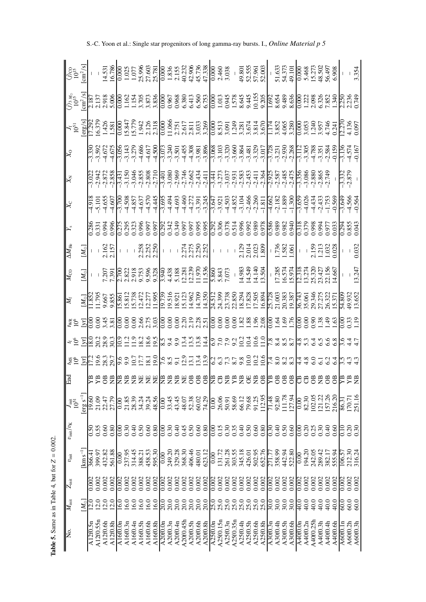| $\frac{1}{10^{15}}$<br>$\frac{1}{2}$ /s <sup>7</sup>                                                                                                                                                                                |                                                                                                                                                                                     |          |                |                |          |                       |          |          |          |          |                                                                                                                                                                                                                           |                        |          |                            |           |          |          |          |          |           |                                                     |           |                         |          |                            |          |          |          |          |          |          |          |                  |          |          |                       |                               |                      | $\frac{-}{3.354}$ |
|-------------------------------------------------------------------------------------------------------------------------------------------------------------------------------------------------------------------------------------|-------------------------------------------------------------------------------------------------------------------------------------------------------------------------------------|----------|----------------|----------------|----------|-----------------------|----------|----------|----------|----------|---------------------------------------------------------------------------------------------------------------------------------------------------------------------------------------------------------------------------|------------------------|----------|----------------------------|-----------|----------|----------|----------|----------|-----------|-----------------------------------------------------|-----------|-------------------------|----------|----------------------------|----------|----------|----------|----------|----------|----------|----------|------------------|----------|----------|-----------------------|-------------------------------|----------------------|-------------------|
|                                                                                                                                                                                                                                     |                                                                                                                                                                                     |          |                |                |          |                       |          |          |          |          |                                                                                                                                                                                                                           |                        |          |                            |           |          |          |          |          |           |                                                     |           |                         |          |                            |          |          |          |          |          |          |          |                  |          |          |                       |                               |                      |                   |
|                                                                                                                                                                                                                                     |                                                                                                                                                                                     |          |                |                |          |                       |          |          |          |          |                                                                                                                                                                                                                           |                        |          |                            |           |          |          |          |          |           |                                                     |           |                         |          |                            |          |          |          |          |          |          |          |                  |          |          |                       |                               |                      |                   |
| $X_{\rm O}$                                                                                                                                                                                                                         |                                                                                                                                                                                     |          |                |                |          |                       |          |          |          |          |                                                                                                                                                                                                                           |                        |          |                            |           |          |          |          |          |           |                                                     |           |                         |          |                            |          |          |          |          |          |          |          |                  |          |          |                       |                               |                      |                   |
|                                                                                                                                                                                                                                     |                                                                                                                                                                                     |          |                |                |          |                       |          |          |          |          |                                                                                                                                                                                                                           |                        |          |                            |           |          |          |          |          |           |                                                     |           |                         |          |                            |          |          |          |          |          |          |          |                  |          |          |                       | $3.332$<br>$-2.879$           |                      |                   |
| $X_C$                                                                                                                                                                                                                               |                                                                                                                                                                                     |          |                |                |          |                       |          |          |          |          |                                                                                                                                                                                                                           |                        |          |                            |           |          |          |          |          |           |                                                     |           |                         |          |                            |          |          |          |          |          |          |          |                  |          |          |                       |                               |                      |                   |
|                                                                                                                                                                                                                                     |                                                                                                                                                                                     |          |                |                |          |                       |          |          |          |          |                                                                                                                                                                                                                           |                        |          |                            |           |          |          |          |          |           |                                                     |           |                         |          |                            |          |          |          |          |          |          |          |                  |          |          |                       |                               |                      |                   |
| $\Delta M_{\rm He}$                                                                                                                                                                                                                 |                                                                                                                                                                                     |          |                |                |          |                       |          |          |          |          | $\begin{array}{c c c c c} \hline 1.5 & 0.0000 & 0.0000 \\ 0.0000 & 0.0000 & 0.0000 \\ 0.0000 & 0.0000 & 0.0000 \\ 0.0000 & 0.0000 & 0.0000 \\ 0.0000 & 0.0000 & 0.0000 \\ 0.0000 & 0.0000 & 0.0000 \\ \hline \end{array}$ |                        |          |                            |           |          |          |          |          |           |                                                     |           |                         |          |                            |          |          |          |          |          |          |          |                  |          |          |                       |                               |                      | $\frac{1}{0.032}$ |
| $M_{\rm CO}$                                                                                                                                                                                                                        | $\overline{\mathcal{M}_{\odot}}$                                                                                                                                                    |          |                |                |          |                       |          |          |          |          |                                                                                                                                                                                                                           |                        |          |                            |           |          |          |          |          |           |                                                     |           |                         |          |                            |          |          |          |          |          |          |          |                  |          |          |                       |                               |                      | $-3.247$          |
|                                                                                                                                                                                                                                     | Janus Communication Communication Communication Communication<br>Subsettion Communication Communication Communication<br>Chino Subsettion Communication Communication Communication |          |                |                |          |                       |          |          |          |          |                                                                                                                                                                                                                           |                        |          |                            |           |          |          |          |          |           |                                                     |           |                         |          |                            |          |          |          |          |          |          |          |                  |          |          |                       |                               |                      |                   |
|                                                                                                                                                                                                                                     |                                                                                                                                                                                     |          |                |                |          |                       |          |          |          |          |                                                                                                                                                                                                                           |                        |          |                            |           |          |          |          |          |           |                                                     |           |                         |          |                            |          |          |          |          |          |          |          |                  |          |          |                       |                               |                      |                   |
|                                                                                                                                                                                                                                     |                                                                                                                                                                                     |          |                |                |          |                       |          |          |          |          |                                                                                                                                                                                                                           |                        |          |                            |           |          |          |          |          |           |                                                     |           |                         |          |                            |          |          |          |          |          |          |          |                  |          |          |                       |                               |                      |                   |
| ا دی کے ایک کا کہنا ہے کہ ایک کا کہنا ہے کہ ایک کا کہنا ہے کہ ایک کا کہنا ہے کہ ایک کا کہنا ہے کہ ایک کا کہنا<br>ایک کا کہنا ہے کہ ایک کا کہنا ہے کہ ایک کا کہنا ہے کہ ایک کام کرنا ہے کہ ایک کام کرنا ہے کہ ایک کام کرنا ہے کہ<br> |                                                                                                                                                                                     |          |                |                |          |                       |          |          |          |          |                                                                                                                                                                                                                           |                        |          |                            |           |          |          |          |          |           |                                                     |           |                         |          |                            |          |          |          |          |          |          |          |                  |          |          |                       |                               |                      |                   |
| $\frac{E}{1}$                                                                                                                                                                                                                       |                                                                                                                                                                                     |          |                |                |          |                       |          |          |          |          | 명명명별별별별별별별별별별명명명별                                                                                                                                                                                                         |                        |          |                            |           |          |          |          |          |           | 岩岩                                                  |           | ž                       | ŏË       |                            |          |          |          |          |          |          |          |                  |          |          | 8 6 8 8 8 8 8 8 8 8 8 |                               |                      |                   |
| تاقية.<br>10 <sup>51</sup>                                                                                                                                                                                                          | $[erg s^{-1}]$                                                                                                                                                                      | 19.60    | 21.09          | 22.47<br>27.79 |          | $_{\rm 0.00}$         | 21.85    | 28.39    | 34.24    | 39.24    | 48.56                                                                                                                                                                                                                     | 0.00                   | 33.45    | 43.588<br>43.68<br>43.69   |           |          |          | 74.29    | 0.00     |           | 26.06<br>50.91                                      | 58.69     | 66.12<br>79.68<br>91.25 |          |                            | 112.95   | 71.48    | 92.80    | 111.78   | 127.94   | 0.00     | 82.30    | 102.05           | 121.22   | 157.26   | 216.20                | 86.31                         | 170.71<br>251.16     |                   |
| $v_{\rm init}/v_{\rm K}$                                                                                                                                                                                                            |                                                                                                                                                                                     | 5.0      |                | 0.60           | 0.80     | 0.00                  | 0.30     | 0.40     | 0.50     | 0.60     | 0.80                                                                                                                                                                                                                      | 0.00                   | 0.30     | $0.46$<br>$0.50$<br>$0.60$ |           |          |          | 0.80     | 0.00     |           | $\begin{array}{c} 0.15 \\ 0.30 \\ 0.35 \end{array}$ |           |                         |          | $0.50$<br>0.50             | 0.80     | 0.50     | 0.40     | 0.50     | 0.60     | 0.00     |          | $0.20$<br>$0.25$ | 0.30     | 0.40     | 0.60                  | $\frac{10}{2}$                | 0.30                 |                   |
| $v_{\rm init}$                                                                                                                                                                                                                      | $\mathrm{km}\,\mathrm{s}^{-1}$                                                                                                                                                      | 366.4    | 399.97         | 432.82         | 561.88   | 0.00                  | 237.95   | 314.45   | 388.21   | 458.53   | 595.30                                                                                                                                                                                                                    | 0.00                   | 249.20   | 329.28                     | 368.30    | 406.46   | 480.01   | 623.12   | 0.00     | 131.72    | 261.28                                              | 303.55    | 345.18                  |          | 426.01<br>502.95<br>652.76 |          | 271.77   | 358.99   | 442.94   | 522.80   | 0.00     | 194.20   | 242.05           | 289.42   |          | 382.17<br>555.94      | 106.57                        | 212.30<br>316.24     |                   |
| $M_{\rm init}$ $Z_{\rm init}$                                                                                                                                                                                                       |                                                                                                                                                                                     | 0.002    | 0.002          | 0.002          | 0.002    | 0.002                 | 0.002    | 0.002    | 0.002    | 0.002    | 0.002                                                                                                                                                                                                                     | 0.002                  | 0.002    | 0.002                      | 0.002     | 0.002    | 0.002    | 0.002    | 0.002    | 0.002     | 0.002                                               | 0.002     | 0.002                   |          | $0.002$<br>$0.002$         | 0.002    | 0.002    | 0.002    | 0.002    | 0.002    | 0.002    | 0.002    | 0.002            | 0.002    | 0.002    | 0.002                 | 0.002                         | 0.002                | 0.002             |
|                                                                                                                                                                                                                                     | $M_{\odot}$                                                                                                                                                                         |          | $\frac{0}{20}$ |                | 12.0     | 0.91                  | 16.0     | 16.0     | 16.0     | 16.0     | 16.0                                                                                                                                                                                                                      | 20.0                   | 20.0     | 20.0                       | 20.0      | 20.0     | 20.0     | 20.0     | 25.0     |           | 0,0<br>8,8<br>8,8                                   |           |                         |          | 25.0<br>25.0<br>25.0       |          | 0.0      | 30.0     | 30.0     | 30.0     | 0:0      | 40.0     | 40.0             | $-40.0$  | 40.0     | 40.0                  | 60.0                          | 60.0                 | 60.0              |
| $\overline{\phantom{1}}$ No.                                                                                                                                                                                                        |                                                                                                                                                                                     | A12f0.5n | A12f0.55r      | A12f0.6h       | A12f0.8h | $\overline{A16f0.0n}$ | A16f0.3n | A16f0.4n | A16f0.5h | A16f0.6h | A16f0.8h                                                                                                                                                                                                                  | $\lambda 20$ f $0.0$ n | A20f0.3n | A20f0.4n                   | A20f0.45b | A20f0.5h | A20f0.6h | A20f0.8h | A25f0.0n | A25f0.15n | A25f0.3n                                            | A25f0.35n | A25f0.4h                | A25f0.5h | A25f0.6h                   | A25f0.8h | A30f0.3n | A30f0.4h | A30f0.5h | A30f0.6h | A40f0.0n | A40f0.2n | A40f0.25h        | A40f0.3h | A40f0.4h | A40f0.6h              | $\overline{\text{A60f0}}$ .ln | A60f0.2h<br>A60f0.3h |                   |

S.-C. Yoon et al.: Single star progenitors of long gamma-ray bursts. I., *Online Material p 5*

**Table 5.** Same as in Table 4, but for

*Z* = 0.002.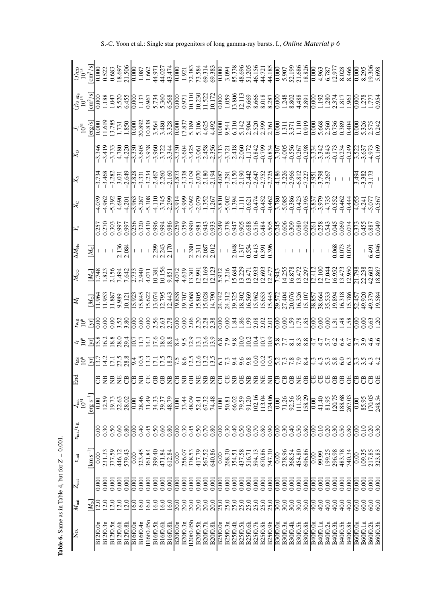| No. $M_{\text{init}}$ $Z_{\text{init}}$ $v_{\text{init}} / v_{\text{K}}$ |                   |                   |                       |                                                    | ië<br>1951              | End   | ES En du résult du réglise du du du résult de la minitérie.<br>Les Endurciers du du du du du du réglise du du réglise du du réglise de la ministrit de |                      |  | $M_{\rm CO}$                                                                                                                                                                                                                         | $\Delta M_{\rm He}$ |  |                         |  |  |
|--------------------------------------------------------------------------|-------------------|-------------------|-----------------------|----------------------------------------------------|-------------------------|-------|--------------------------------------------------------------------------------------------------------------------------------------------------------|----------------------|--|--------------------------------------------------------------------------------------------------------------------------------------------------------------------------------------------------------------------------------------|---------------------|--|-------------------------|--|--|
|                                                                          | $M_{\odot}$       |                   | $\mathrm{km\,s}^{-1}$ |                                                    | $[erg s^{-1}]$          |       |                                                                                                                                                        |                      |  |                                                                                                                                                                                                                                      | $[M_{\odot}]$       |  |                         |  |  |
| B12f0.0r                                                                 |                   | 0.00              | $_{\rm 0.00}^{\rm 2}$ | )0.0                                               |                         |       |                                                                                                                                                        |                      |  |                                                                                                                                                                                                                                      |                     |  |                         |  |  |
| B12f0.3n                                                                 | $\overline{2.0}$  | 0.001             | 231.33                | 0.30                                               | 12.59<br>19.73          | 尝尝    |                                                                                                                                                        |                      |  | Janus Stadio Stadio Stadio Stadio Stadio Stadio Stadio Stadio Stadio Stadio Stadio Stadio Stadio Stadio Stadio<br>Linus Stadio Stadio Stadio Stadio Stadio Stadio Stadio Stadio Stadio Stadio Stadio Stadio Stadio Stadio Stadio<br> |                     |  |                         |  |  |
| B12f0.5n                                                                 | 12.0              | 0.001             | 377.59                | 0.50                                               |                         |       |                                                                                                                                                        |                      |  |                                                                                                                                                                                                                                      |                     |  |                         |  |  |
| B12f0.6h                                                                 | 12.0              | 0.001             | 446.12                | 0.60                                               | 22.63                   | 妛     |                                                                                                                                                        |                      |  |                                                                                                                                                                                                                                      |                     |  |                         |  |  |
| B12f0.8h                                                                 | 12.0              | 0.001             | 579.43                | 0.80                                               | 28.02                   | ö     |                                                                                                                                                        |                      |  |                                                                                                                                                                                                                                      |                     |  |                         |  |  |
| B16f0.0n                                                                 | <u>ن ک</u>        | 0.00              | 0.00                  | 0.00                                               | 0.00                    | U     |                                                                                                                                                        |                      |  |                                                                                                                                                                                                                                      |                     |  |                         |  |  |
| B16f0.4n                                                                 | 16.0              | 0.001             | 323.45                | 0.40                                               | 28.46                   | 岂     |                                                                                                                                                        |                      |  |                                                                                                                                                                                                                                      |                     |  |                         |  |  |
| B16f0.45n                                                                | 16.0              | 0.001             | 361.84                | 0.45                                               |                         | ö     |                                                                                                                                                        |                      |  |                                                                                                                                                                                                                                      |                     |  |                         |  |  |
| B16f0.5h                                                                 | 16.0              | 0.001             | 399.40                | 0.50                                               | 31.33<br>34.33<br>39.37 | ö     |                                                                                                                                                        |                      |  |                                                                                                                                                                                                                                      |                     |  |                         |  |  |
| B16f0.6h                                                                 | 16.0              | 0.001             | 471.84                |                                                    |                         | ö     |                                                                                                                                                        |                      |  |                                                                                                                                                                                                                                      |                     |  |                         |  |  |
| B16f0.8h                                                                 | 16.0              | 0.001             | 612.84                | 0.80                                               | 48.79                   | 岂     |                                                                                                                                                        |                      |  |                                                                                                                                                                                                                                      |                     |  |                         |  |  |
| B20f0.0n                                                                 | 0:07              | 0.001             | 0.00                  | 0.00                                               | $\overline{0.00}$       | ö     |                                                                                                                                                        |                      |  |                                                                                                                                                                                                                                      |                     |  |                         |  |  |
| B20f0.3n                                                                 | 20.0              | 0.001             | 256.07<br>378.53      | 0.30                                               | 33.44<br>48.09          | 昙     |                                                                                                                                                        |                      |  |                                                                                                                                                                                                                                      |                     |  |                         |  |  |
| B20f0.45h                                                                | 20.0              |                   |                       | $0.50$<br>$0.50$<br>$0.80$                         |                         | ö     |                                                                                                                                                        |                      |  |                                                                                                                                                                                                                                      |                     |  |                         |  |  |
| B20f0.5h                                                                 | 20.0              | 0.001             | 417.79<br>567.52      |                                                    | 52.41<br>67.32          | 岩岩    |                                                                                                                                                        |                      |  |                                                                                                                                                                                                                                      |                     |  |                         |  |  |
| B20f0.7h                                                                 | 20.0              | 0.001             |                       |                                                    |                         |       |                                                                                                                                                        |                      |  |                                                                                                                                                                                                                                      |                     |  |                         |  |  |
| B20f0.8h                                                                 | 20.0              | 0.001             | 640.86                |                                                    | 74.48                   | ₹p    |                                                                                                                                                        |                      |  |                                                                                                                                                                                                                                      |                     |  |                         |  |  |
| B25f0.0n                                                                 | 25.0              | 0.001             | 0.00                  | 0.00                                               | 0.00                    |       |                                                                                                                                                        |                      |  |                                                                                                                                                                                                                                      |                     |  |                         |  |  |
| B25f0.3n                                                                 | 25.0              | 0.001             | 268.30                | $0.30$<br>$0.50$                                   | 50.81                   | 8 岁 岁 |                                                                                                                                                        |                      |  |                                                                                                                                                                                                                                      |                     |  |                         |  |  |
| B25f0.4h                                                                 | 25.0              | 0.001             |                       |                                                    | 66.02                   |       |                                                                                                                                                        |                      |  |                                                                                                                                                                                                                                      |                     |  |                         |  |  |
| B25f0.5h                                                                 | 25.0              | 0.001             | 354.51<br>437.58      |                                                    | 79.59                   |       |                                                                                                                                                        |                      |  |                                                                                                                                                                                                                                      |                     |  |                         |  |  |
| B25f0.6h                                                                 | 25.0              | 0.001             | 516.71                | 0.60                                               | 91.20                   | 岂     |                                                                                                                                                        |                      |  |                                                                                                                                                                                                                                      |                     |  |                         |  |  |
| B25f0.7h                                                                 | ុ<br>ង ង ង        | 0.001             | 594.13                | $\begin{array}{c} 0.80 \\ 0.90 \\ 0.0 \end{array}$ | 102.16<br>113.04        | ž     |                                                                                                                                                        |                      |  |                                                                                                                                                                                                                                      |                     |  |                         |  |  |
| B25f0.8h                                                                 |                   |                   | 670.86<br>747.30      |                                                    |                         | ž     |                                                                                                                                                        |                      |  |                                                                                                                                                                                                                                      |                     |  |                         |  |  |
| B25f0.9h                                                                 |                   | 0.001             |                       |                                                    | 124.06                  | Ë     |                                                                                                                                                        |                      |  |                                                                                                                                                                                                                                      |                     |  |                         |  |  |
| B30f0.0n                                                                 | 30.0              | $\frac{1}{0.001}$ | 0.00                  | 0.00                                               | 0.00                    | J     |                                                                                                                                                        |                      |  |                                                                                                                                                                                                                                      |                     |  |                         |  |  |
| B30f0.3n                                                                 | 30.0              | 0.001             | 278.96<br>368.54      | 0.30                                               | 71.26<br>92.56          | ö     |                                                                                                                                                        |                      |  |                                                                                                                                                                                                                                      |                     |  |                         |  |  |
| B30f0.4h                                                                 | 30.0              |                   |                       | $0.40$<br>$0.50$                                   |                         | ö     |                                                                                                                                                        |                      |  |                                                                                                                                                                                                                                      |                     |  |                         |  |  |
| B30f0.5h                                                                 | 30.0              | 0.001             | 454.80                |                                                    | 111.55                  | 妛     |                                                                                                                                                        |                      |  |                                                                                                                                                                                                                                      |                     |  |                         |  |  |
| <b>B30f0.8h</b>                                                          | 30.0              | 0.001             | 696.86                | 0.80                                               | 158.29                  | ö     |                                                                                                                                                        |                      |  |                                                                                                                                                                                                                                      |                     |  |                         |  |  |
| B40f0.0n                                                                 | $\frac{1}{2}$     | 0.00              | 0.00                  | 8.00                                               | 0.00                    | せせ    |                                                                                                                                                        |                      |  |                                                                                                                                                                                                                                      |                     |  |                         |  |  |
| B40f0.1n                                                                 | $-40.0$           | 0.001             | 99.99                 | 0.10                                               | 41.40                   |       |                                                                                                                                                        |                      |  |                                                                                                                                                                                                                                      |                     |  |                         |  |  |
| B40f0.2n                                                                 | 40.0              | 0.001             |                       | $0.20$<br>$0.30$                                   | 81.95                   | ö     |                                                                                                                                                        |                      |  |                                                                                                                                                                                                                                      |                     |  |                         |  |  |
| B40f0.3h                                                                 | $-40.0$           | 0.001             | 199.25<br>296.98      |                                                    | 120.75                  | ö     |                                                                                                                                                        |                      |  |                                                                                                                                                                                                                                      |                     |  |                         |  |  |
| B40f0.5h                                                                 | $-40.0$           | 0.001             | 483.78<br>740.34      | 0.50                                               | 188.68                  | ö     |                                                                                                                                                        |                      |  |                                                                                                                                                                                                                                      |                     |  |                         |  |  |
| B40f0.8h                                                                 | $-40.0$           | 0.001             |                       | 0.80                                               | 267.03                  | ö     |                                                                                                                                                        | radrhooo<br>Cadrhooo |  |                                                                                                                                                                                                                                      | $\frac{1}{0.068}$   |  |                         |  |  |
| <b>B60f0.0n</b>                                                          | 0.09              | $\overline{0.00}$ | $\frac{0.00}{2}$      | 00.0                                               | 0.00                    | ö     |                                                                                                                                                        |                      |  |                                                                                                                                                                                                                                      |                     |  |                         |  |  |
| B60f0.1n                                                                 | $\ddot{\text{8}}$ | 0.001             | 109.35                | 0.10                                               | 85.95                   | ö     |                                                                                                                                                        |                      |  |                                                                                                                                                                                                                                      |                     |  |                         |  |  |
| B60f0.2h                                                                 | $\overline{60}$   | 0.001             |                       | 0.30                                               | 170.05                  | ö     |                                                                                                                                                        |                      |  |                                                                                                                                                                                                                                      | 6.491<br>0.046      |  | 3.492<br>3.382<br>3.173 |  |  |
| B60f0.3h                                                                 | 60.0              |                   | 217.85<br>323.83      |                                                    | 248.54                  | ð     |                                                                                                                                                        |                      |  |                                                                                                                                                                                                                                      |                     |  |                         |  |  |

**Table 6.** Same as in Table 4, but for

*Z* = 0.001.

S.-C. Yoon et al.: Single star progenitors of long gamma-ray bursts. I., *Online Material p 6*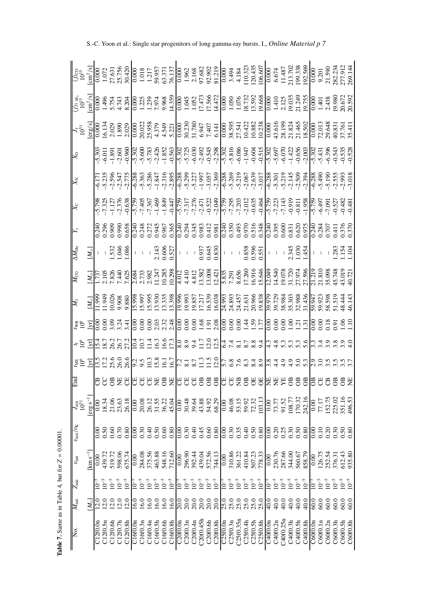| $\overline{\mathbb{X}}$            |                                                                                                                                                                                                                                                                                                                                               |              |               |                                                                 |                |                  |                 |                |            |           |           |           |           |                   |           |           |                                     |           |                                         |                          |           |           |             |                                                                                   |           |          |           |           |           |                     |                                                                                                         |                        |           |                |                                                                                                                                                                                                                                                                                         |                        |          |
|------------------------------------|-----------------------------------------------------------------------------------------------------------------------------------------------------------------------------------------------------------------------------------------------------------------------------------------------------------------------------------------------|--------------|---------------|-----------------------------------------------------------------|----------------|------------------|-----------------|----------------|------------|-----------|-----------|-----------|-----------|-------------------|-----------|-----------|-------------------------------------|-----------|-----------------------------------------|--------------------------|-----------|-----------|-------------|-----------------------------------------------------------------------------------|-----------|----------|-----------|-----------|-----------|---------------------|---------------------------------------------------------------------------------------------------------|------------------------|-----------|----------------|-----------------------------------------------------------------------------------------------------------------------------------------------------------------------------------------------------------------------------------------------------------------------------------------|------------------------|----------|
|                                    |                                                                                                                                                                                                                                                                                                                                               |              |               |                                                                 |                |                  |                 |                |            |           |           |           |           |                   |           |           |                                     |           |                                         |                          |           |           |             |                                                                                   |           |          |           |           |           |                     |                                                                                                         |                        |           |                |                                                                                                                                                                                                                                                                                         |                        |          |
|                                    |                                                                                                                                                                                                                                                                                                                                               |              |               |                                                                 |                |                  |                 |                |            |           |           |           |           |                   |           |           |                                     |           |                                         |                          |           |           |             |                                                                                   |           |          |           |           |           |                     |                                                                                                         |                        |           |                |                                                                                                                                                                                                                                                                                         |                        |          |
|                                    |                                                                                                                                                                                                                                                                                                                                               |              |               |                                                                 |                |                  |                 |                |            |           |           |           |           |                   |           |           |                                     |           |                                         |                          |           |           |             |                                                                                   |           |          |           |           |           |                     |                                                                                                         |                        |           |                |                                                                                                                                                                                                                                                                                         |                        |          |
| $\overline{\Delta M_{\rm He}}$     |                                                                                                                                                                                                                                                                                                                                               |              |               |                                                                 |                |                  |                 |                |            |           |           |           |           |                   |           |           |                                     |           |                                         |                          |           |           |             |                                                                                   |           |          |           |           |           |                     |                                                                                                         |                        |           |                | $-1.383$<br>$-1.383$<br>$-1.54$                                                                                                                                                                                                                                                         |                        |          |
| $\overline{\overline{M}_{\rm CO}}$ |                                                                                                                                                                                                                                                                                                                                               |              |               |                                                                 |                |                  |                 |                |            |           |           |           |           |                   |           |           |                                     |           |                                         |                          |           |           |             |                                                                                   |           |          |           |           |           |                     |                                                                                                         |                        |           |                |                                                                                                                                                                                                                                                                                         |                        |          |
|                                    |                                                                                                                                                                                                                                                                                                                                               |              |               |                                                                 |                |                  |                 |                |            |           |           |           |           |                   |           |           |                                     |           |                                         |                          |           |           |             |                                                                                   |           |          |           |           |           |                     |                                                                                                         |                        |           |                | $\begin{array}{l} \n\hline \triangle \begin{bmatrix} 1 & -1 \\ 0 & 0 \\ 0 & 0 \\ 0 & 0 \\ 0 & 0 \\ 0 & 0 \\ 0 & 0 \\ 0 & 0 \\ 0 & 0 \\ 0 & 0 \\ 0 & 0 \\ 0 & 0 \\ 0 & 0 \\ 0 & 0 \\ 0 & 0 \\ 0 & 0 \\ 0 & 0 \\ 0 & 0 \\ 0 & 0 \\ 0 & 0 \\ 0 & 0 \\ 0 & 0 \\ 0 & 0 \\ 0 & 0 \\ 0 & 0 \\$ |                        |          |
|                                    |                                                                                                                                                                                                                                                                                                                                               |              |               |                                                                 |                |                  |                 |                |            |           |           |           |           |                   |           |           |                                     |           |                                         |                          |           |           |             |                                                                                   |           |          |           |           |           |                     |                                                                                                         |                        |           |                |                                                                                                                                                                                                                                                                                         |                        |          |
|                                    | 4 ° C B M 2 8 8 8 7 0 0 1 1 2 9 7 8 9 9 0 0 3 4 5 0 7 9 1 4 5 - 5 8 9 1 4 5 6 7 8 9 1 6 7 8 9 0 1 4 5 6 7 8 9 9<br>4 ° C B M 2 8 8 7 0 0 1 1 2 9 7 8 8 7 1 2 1 2 1 2 5 6 7 8 8 8 9 1 4 5 6 7 8 9 8 9 9 9 1 4 7 8 9 8 9 9 9 9 1 8                                                                                                              |              |               |                                                                 |                |                  |                 |                |            |           |           |           |           |                   |           |           |                                     |           |                                         |                          |           |           |             |                                                                                   |           |          |           |           |           |                     |                                                                                                         |                        |           |                |                                                                                                                                                                                                                                                                                         |                        |          |
|                                    | $\frac{155}{125} = \frac{155}{125} = \frac{155}{125} = \frac{155}{125} = \frac{155}{125} = \frac{155}{125} = \frac{155}{125} = \frac{155}{125} = \frac{155}{125} = \frac{155}{125} = \frac{155}{125} = \frac{155}{125} = \frac{155}{125} = \frac{155}{125} = \frac{155}{125} = \frac{155}{125} = \frac{155}{125} = \frac{155}{125} = \frac{1$ |              |               |                                                                 |                |                  |                 |                |            |           |           |           |           |                   |           |           |                                     |           |                                         |                          |           |           |             |                                                                                   |           |          |           |           |           |                     |                                                                                                         |                        |           |                |                                                                                                                                                                                                                                                                                         |                        |          |
| 멸                                  |                                                                                                                                                                                                                                                                                                                                               |              |               |                                                                 |                |                  | 888288828282888 |                |            |           |           |           |           |                   |           |           |                                     |           |                                         | U U                      |           |           |             | [<br>[] [] [] [] [] [] [] [] [] []                                                |           |          |           |           |           | $\circ \circ \circ$ |                                                                                                         |                        |           |                | 188888                                                                                                                                                                                                                                                                                  |                        |          |
|                                    | $J_{\bar{1}\bar{0}}^{51}$                                                                                                                                                                                                                                                                                                                     | $erg s^{-1}$ | $_{\rm 0.00}$ | $\begin{array}{c} 18.34 \\ 21.06 \\ 23.63 \\ 26.18 \end{array}$ |                |                  |                 |                |            |           |           |           |           | $\overline{0.00}$ |           |           | 30.38<br>30.382<br>30.458           |           |                                         |                          |           |           |             | $\begin{array}{c} 0.00 \\ 46.08 \\ 53.15 \\ 59.92 \\ 72.32 \\ 103.13 \end{array}$ |           |          |           |           |           |                     | $\begin{array}{r} 0.00 \\ 73.77 \\ 91.52 \\ 108.77 \\ 170.32 \\ 170.32 \\ 170.32 \\ 242.16 \end{array}$ | $\frac{L\Gamma L}{00}$ |           |                | 152.75<br>225.02<br>351.16<br>496.53                                                                                                                                                                                                                                                    |                        |          |
| $v_{\rm init}/v_{\rm K}$           |                                                                                                                                                                                                                                                                                                                                               |              |               | 0.89<br>0.50<br>0.50<br>0.60                                    |                |                  |                 |                |            |           |           |           |           |                   |           |           |                                     |           | 88<br>866666666666666<br>86666666666666 |                          |           |           |             |                                                                                   |           |          |           | 0.333888  |           |                     |                                                                                                         | 0.10                   |           |                | 0.20                                                                                                                                                                                                                                                                                    | $\frac{0.50}{0.80}$    |          |
| $v_{\rm init}$                     |                                                                                                                                                                                                                                                                                                                                               | $km s^{-1}$  |               | 439.72                                                          |                | 519.72<br>598.06 | 675.74          | 0.00           | 284.08     | 375.56    | 463.88    | 548.16    | 712.60    | 0.00              | 296.90    |           | 392.44<br>439.04<br>572.56<br>74.13 |           |                                         | $\frac{0.00}{\sqrt{10}}$ |           |           |             |                                                                                   |           |          |           |           |           |                     | 310.86<br>361.22<br>410.84<br>507.23<br>50.67<br>588.79<br>588.79<br>588.75<br>888.75                   |                        |           | 252.54         | 376.3                                                                                                                                                                                                                                                                                   | 612.43<br>935.80       |          |
| $Z_{\text{init}}$                  |                                                                                                                                                                                                                                                                                                                                               |              |               |                                                                 | $\overline{Q}$ | $10^{-5}$        | $10^{-5}$       | $\overline{5}$ | $10^{-5}$  | $10^{-5}$ | $10^{-5}$ | $10^{-5}$ | $10^{-5}$ | $-01$             | $10^{-5}$ | $10^{-5}$ | $10^{-5}$                           | $10^{-5}$ | $10^{-5}$                               | $\overline{5}$           | $10^{-5}$ | $10^{-5}$ | $10^{-5}\,$ | $10^{-5}$                                                                         | $10^{-5}$ | È        | $10^{-5}$ | $10^{-5}$ | $10^{-5}$ | $10^{-5}$           | $10^{-5}$                                                                                               | $\overline{5}$         | $10^{-5}$ | $\bar{0}^{-5}$ | $10^{-5}$                                                                                                                                                                                                                                                                               | $10^{-5}$<br>$10^{-5}$ |          |
| $M_{\rm init}$                     |                                                                                                                                                                                                                                                                                                                                               | $M_{\odot}$  |               |                                                                 |                |                  |                 | 6.0            | <b>6.0</b> | 16.0      | 16.0      | 16.0      | 16.0      | 20.0              | 20.0      | 20.0      | 20.0                                | 20.0      | 20.0                                    |                          |           |           |             |                                                                                   |           |          |           |           |           |                     | 40.0                                                                                                    | $rac{1}{60}$           |           | 60.0           | 60.0                                                                                                                                                                                                                                                                                    | $rac{0}{60}$           |          |
| No.                                |                                                                                                                                                                                                                                                                                                                                               |              | C12f0.0r      | C12f0.5n                                                        | C12f0.6h       | C12f0.7t         | C12f0.8b        | C16f0.0        | C16f0.3r   | C16f0.4n  | C16f0.5h  | C16f0.6h  | C16f0.8h  | C20f0.0r          | C20f0.3n  | C20f0.4n  | C20f0.45h                           | C20f0.6h  | C20f0.8h                                | <b>C25f0.0n</b>          | C25f0.3n  | C25f0.35n | C25f0.4h    | C25f0.5h                                                                          | C25f0.8h  | C40f0.0n | C40f0.2n  | C40f0.25n | C40f0.3h  | C40f0.5h            | C40f0.8h                                                                                                | C60f0.0r               | C60f0.1n  | C60f0.2n       | C60f0.3h                                                                                                                                                                                                                                                                                | C60f0.5h               | C60f0.8h |

**Table 7.** Same as in Table 4, but for

*Z* =

 $= 0.00001$ .

S.-C. Yoon et al.: Single star progenitors of long gamma-ray bursts. I., *Online Material p 7*